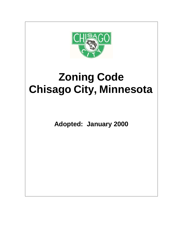

# **Zoning Code Chisago City, Minnesota**

**Adopted: January 2000**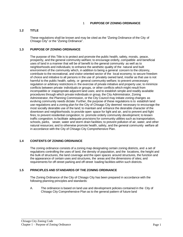# **1.2 TITLE**

These regulations shall be known and may be cited as the "Zoning Ordinance of the City of Chisago City" or the "Zoning Ordinance".

## **1.3 PURPOSE OF ZONING ORDINANCE**

The purpose of this Title is to protect and promote the public health, safety, morals, peace, prosperity, and the general community welfare; to encourage orderly, compatible and beneficial uses of land in a manner that will be of benefit to the general community as well as to neighborhoods and individuals; to enhance the aesthetic quality of the natural and built environment of the community which, in addition to being a general concern to the citizenry, contribute to the recreational, and visitor oriented sector of the local economy; to secure freedom of choice and initiative to all persons in the use of privately owned land, insofar as that use is not harmful to the public health, safety, or general community welfare; to prevent unnecessary regulation or arbitrary restrictions in the exercise of private initiative and property use; to minimize conflicts between private individuals or groups, or other conflicts which might result from incompatible or inappropriate adjacent land uses; and to establish simple and readily available procedures through which private individuals or group, the City Administrator, Zoning Administrator, the Planning Commission, or the City Council may initiate zoning changes as evolving community needs dictate. Further, the purpose of these regulations is to establish land use regulations and a zoning plan for the City of Chisago City deemed necessary to encourage the most socially desirable use of the land; to maintain and enhance the desirable character of the downtown and neighborhoods; to provide open space for light and air, and to prevent and fight fires; to prevent residential congestion; to promote orderly community development; to lessen traffic congestion; to facilitate adequate provisions for community utilities such as transportation, schools, parks, sewer, water and storm drain facilities; to prevent pollution of air, water, and other natural resources; and to otherwise promote health, safety, and the general community welfare all in accordance with the City of Chisago City Comprehensive Plan.

# **1.4 CONTENTS OF ZONING ORDINANCE**

The zoning ordinance consists of a zoning map designating certain zoning districts, and a set of regulations controlling the uses of land, the density of population, and the locations, the height and the bulk of structures, the land coverage and the open spaces around structures, the function and the appearance of certain uses and structures, the areas and the dimensions of sites; and requirements for off-street parking and off-street loading facilities within such districts.

#### **1.5 PRINCIPLES AND STANDARDS OF THE ZONING ORDINANCE**

The Zoning Ordinance of the City of Chisago City has been prepared in accordance with the following planning principles and standards:

A. The ordinance is based on land use and development policies contained in the City of Chisago City Comprehensive Plan as to the general pattern of future land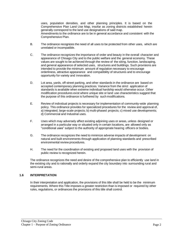uses, population densities, and other planning principles. It is based on the Comprehensive Plan Land Use Map, insofar as zoning districts established herein generally correspond to the land use designations of said map. Amendments to the ordinance are to be in general accordance and consistent with the Comprehensive Plan.

- B. The ordinance recognizes the need of all uses to be protected from other uses, which are unrelated or incompatible.
- C. The ordinance recognizes the importance of order and beauty in the overall character and appearance of Chisago City and to the public welfare and the general economy. These values are sought to be achieved through the review of the siting, function, landscaping, and general appearance of selected uses, structures and buildings. Such provisions are intended to provide the minimum amount of regulation necessary to encourage orderliness, attractive appearance and compatibility of structures and to encourage opportunity for variety and innovation.
- D. Lot area, yards, off-street parking, and other standards in the ordinance are based on accepted contemporary planning practices. Variance from the strict application of standards is available when extreme individual hardship would otherwise occur. Other modification procedures exist where unique site or land use characteristics suggest that the purpose of this ordinance is furthered by such modifications.
- E. Review of individual projects is necessary for implementation of community-wide planning policy. This ordinance provides for specialized procedures for the review and approval of, a) integrated, large-scale projects; b) multi-phased projects; c) mixed use developments; d) Commercial and Industrial uses.
- F. Uses which may adversely affect existing adjoining uses or areas, unless designed or arranged in a particular way or situated only in certain locations, are allowed only as "conditional uses" subject to the authority of appropriate hearing officers or bodies.
- G. The ordinance recognizes the need to minimize adverse impacts of development on natural and built environments through application of planning standards and prescribed environmental review procedures.
- H. The need for the coordination of existing and proposed land uses with the provision of public review is recognized herein.

The ordinance recognizes the need and desire of the comprehensive plan to efficiently use land in the existing city and to rationally and orderly expand the city boundary into surrounding rural and semi-rural areas.

#### **1.6 INTERPRETATION**

In their interpretation and application, the provisions of this title shall be held to be the minimum requirements. Where this Title imposes a greater restriction than is imposed or required by other rules, regulations, or ordinances the provisions of this title shall control.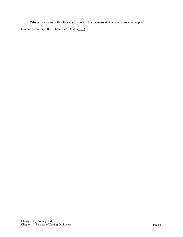Where provisions of this Title are in conflict, the more restrictive provisions shall apply.

(Adopted: January 2000. Amended: Ord. #\_\_\_)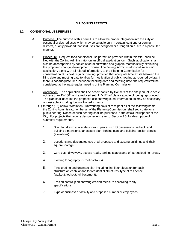#### **3.1 ZONING PERMITS**

#### **3.2 CONDITIONAL USE PERMITS**

- A. Purpose. The purpose of this permit is to allow the proper integration into the City of essential or desired uses which may be suitable only in certain locations or zoning districts, or only provided that said uses are designed or arranged on a site in a particular manner.
- B. Procedure. Request for a conditional use permit, as provided within this title, shall be filed with the Zoning Administrator on an official application form. Such application shall also be accompanied by copies of detailed written and graphic materials fully explaining the proposed change, development, or use. The Zoning Administrator shall refer said application, along with all related information, to the Planning Commission for consideration at its next regular meeting, provided that adequate time exists between the filing date and meeting date to allow for notification of public hearing as required by law. If there is not adequate time between the filing date and meeting date, the requests will be considered at the next regular meeting of the Planning Commission.
- C. Application. The application shall be accompanied by five sets of the site plan, at a scale not less than 1"=100', and a reduced set (11"x17") of plans capable of being reproduced. The plan shall describe the proposed use showing such information as may be necessary or desirable, including, but not limited to Items
	- (1) through (15) below. Within ten (10) working days of receipt of all of the following items, the Zoning Administrator on behalf of the Planning Commission, shall set a date for a public hearing. Notice of such hearing shall be published in the official newspaper of the City. For projects that require design review refer to Section 3.5, for description of submittal requirements.
		- 1. Site plan drawn at a scale showing parcel with lot dimensions, setback and building dimensions, landscape plan, lighting plan, and building design details (elevations).
		- 2. Locations and designated use of all proposed and existing buildings and their square footage.
		- 3. Curb cuts, driveways, access roads, parking spaces and off-street loading areas.
		- 4. Existing topography. (2 foot contours)
		- 5. Final grading and drainage plan including first floor elevation for each structure on each lot and for residential structures, type of residence (walkout, lookout, full basement).
		- 6. Erosion control plan showing erosion measure according to city specifications.
		- 7. Type of business or activity and proposed number of employees.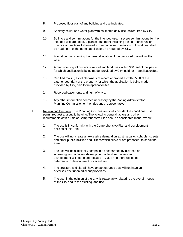- 8. Proposed floor plan of any building and use indicated.
- 9. Sanitary sewer and water plan with estimated daily use, as required by City.
- 10. Soil type and soil limitations for the intended use. If severe soil limitations for the intended use are noted, a plan or statement indicating the soil conservation practice or practices to be used to overcome said limitation or limitations, shall be made part of the permit application, as required by City.
- 11. A location map showing the general location of the proposed use within the City.
- 12. A map showing all owners of record and land uses within 350 feet of the parcel for which application is being made, provided by City, paid for in application fee.
- 13. Certified mailing list of all owners of record of properties with 350 ft of the exterior boundary of the property for which the application is being made, provided by City, paid for in application fee.
- 14. Recorded easements and right of ways.
- 15. Any other information deemed necessary by the Zoning Administrator, Planning Commission or their designed representative.
- D. Review and Decision. The Planning Commission shall consider the conditional use permit request at a public hearing. The following general factors and other requirements of this Title or Comprehensive Plan shall be considered in the review.
	- 1. The use is in conformity with the Comprehensive Plan and development policies of this Title.
	- 2. The use will not create an excessive demand on existing parks, schools, streets and other public facilities and utilities which serve or are proposed to serve the area.
	- 3. The use will be sufficiently compatible or separated by distance or screening from adjacent development or land so that existing development will not be depreciated in value and there will be no deterrence to development of vacant land.
	- 4. The structure and site will have an appearance that will not have an adverse effect upon adjacent properties.
	- 5. The use, in the opinion of the City, is reasonably related to the overall needs of the City and to the existing land use.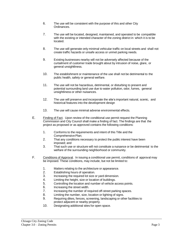- 6. The use will be consistent with the purpose of this and other City Ordinances.
- 7. The use will be located, designed, maintained, and operated to be compatible with the existing or intended character of the zoning district in which it is to be located.
- 8. The use will generate only minimal vehicular traffic on local streets and shall not create traffic hazards or unsafe access or unmet parking needs.
- 9. Existing businesses nearby will not be adversely affected because of the curtailment of customer trade brought about by intrusion of noise, glare, or general unsightliness.
- 10. The establishment or maintenance of the use shall not be detrimental to the public health, safety or general welfare.
- 11. The use will not be hazardous, detrimental, or disturbing to present and potential surrounding land use due to water pollution, odor, fumes, general unsightliness or other nuisances.
- 12. The use will preserve and incorporate the site's important natural, scenic, and historical features into the development design
- 13. The use will cause minimal adverse environmental effects.
- E. Finding of Fact. Upon review of the conditional use permit request the Planning Commission and City Council shall make a finding of fact. The findings are that the project as proposed or as approved contains the following conditions:
	- 1. Conforms to the requirements and intent of this Title and the Comprehensive Plan:
	- 2. That any conditions necessary to protect the public interest have been imposed; and
	- 3. That such use or structure will not constitute a nuisance or be detrimental to the welfare of the surrounding neighborhood or community.
- F. Conditions of Approval. In issuing a conditional use permit, conditions of approval may be imposed. These conditions, may include, but not be limited to:
	- 1. Matters relating to the architecture or appearance.
	- 2. Establishing hours of operation.
	- 3. Increasing the required lot size or yard dimension.
	- 4. Limiting the height, size or location of buildings.
	- 5. Controlling the location and number of vehicle access points.
	- 6. Increasing the street width.
	- 7. Increasing the number of required off-street parking spaces.
	- 8. Limiting the number, size, location or lighting of signs.
	- 9. Requiring dikes, fences, screening, landscaping or other facilities to protect adjacent or nearby property.
	- 10. Designating additional sites for open space.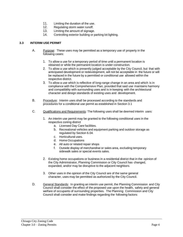- 11. Limiting the duration of the use.
- 12. Regulating storm water runoff.
- 13. Limiting the amount of signage.
- 14. Controlling exterior building or parking lot lighting.

## **3.3 INTERIM USE PERMIT**

- A. Purpose: These uses may be permitted as a temporary use of property in the following cases:
	- 1. To allow a use for a temporary period of time until a permanent location is obtained or while the permanent location is under construction.
	- 2. To allow a use which is presently judged acceptable by the City Council, but that with anticipated development or redevelopment, will not be acceptable in the future or will be replaced in the future by a permitted or conditional use allowed within the respective district.
	- 3. To allow a use which is reflective of long-range change in an area and which is in compliance with the Comprehensive Plan, provided that said use maintains harmony and compatibility with surrounding uses and is in keeping with the architectural character and design standards of existing uses and development.
- B. Procedure: Interim uses shall be processed according to the standards and procedures for a conditional use permit as established in Section 3.1
- C. Qualifications and Requirements: The following uses shall be deemed interim uses:
	- 1. An interim use permit may be granted to the following conditional uses in the respective zoning district
		- a. Licensed Day Care facilities.
		- b. Recreational vehicles and equipment parking and outdoor storage as regulated by Section 6.04.
		- c. Horticultural uses.
		- d. Home Occupations
		- e. All auto or related repair shops
		- f. Outside display of merchandise or sales area, excluding temporary sidewalk sales or special events sales.
	- 2. Existing home occupations or business in a residential district that in the opinion of the City Administrator, Planning Commission or City Council has changed, expanded, and/or may be disruptive to the adjacent neighbors.
	- 3. Other uses in the opinion of the City Council are of the same general character, uses may be permitted as authorized by the City Council.
- D. General Standards: In granting an interim use permit, the Planning Commission and City Council shall consider the effect of the proposed use upon the health, safety and general welfare of occupants of surrounding properties. The Planning Commission and City Council shall consider and make findings regarding the following factors: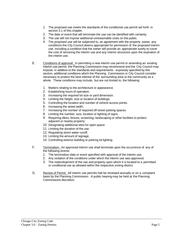- 1. The proposed use meets the standards of the conditional use permit set forth in section 3.1 of this chapter.
- 2. The date or event that will terminate the use can be identified with certainty.
- 3. The use will not impose additional unreasonable costs on the public.
- 4. The proposed use will be subjected to, an agreement with the property owner, any conditions the City Council deems appropriate for permission of the proposed interim use, including a condition that the owner will provide an appropriate surety to cover the cost of removing the interim use and any interim structures upon the expiration of the interim use.
- E. Conditions of approval: In permitting a new interim use permit or amending an existing interim use permit, the Planning Commission may recommend and the City Council may impose, in addition to the standards and requirements expressly specified by this section, additional conditions which the Planning Commission or City Council consider necessary to protect the best interest of the surrounding area or the community as a whole. These conditions may include, but are not limited to, the following:
	- 1. Matters relating to the architecture or appearance.
	- 2. Establishing hours of operation.
	- 3. Increasing the required lot size or yard dimension.
	- 4. Limiting the height, size or location of buildings.
	- 5. Controlling the location and number of vehicle access points.
	- 6. Increasing the street width.
	- 7. Increasing the number of required off-street parking spaces.
	- 8. Limiting the number, size, location or lighting of signs.
	- 9. Requiring dikes, fences, screening, landscaping or other facilities to protect adjacent or nearby property.
	- 10. Designating additional sites for open space.
	- 11. Limiting the duration of the use.
	- 12. Regulating storm water runoff.
	- 13. Limiting the amount of signage.
	- 14. Controlling exterior building or parking lot lighting.
- F. Termination: An approved interim use shall terminate upon the occurrence of any of the following events:
	- 1. The termination date or event specified with approval of the interim use.
	- 2. Any violation of the conditions under which the interim use was approved.
	- 3. The redevelopment of the use and property upon which it is located to a permitted or conditional use as allowed within the respective zoning district.
- G. Review of Permit: All interim use permits hall be reviewed annually or on a complaint basis by the Planning Commission. A public hearing may be held at the Planning Commissions discretion.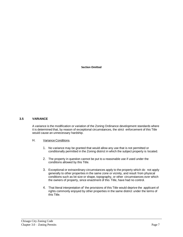**Section Omitted**

#### **3.5 VARIANCE**

A variance is the modification or variation of the Zoning Ordinance development standards where it is determined that, by reason of exceptional circumstances, the strict enforcement of this Title would cause an unnecessary hardship.

#### H. Variance Conditions.

- 1. No variance may be granted that would allow any use that is not permitted or conditionally permitted in the Zoning district in which the subject property is located.
- 2. The property in question cannot be put to a reasonable use if used under the conditions allowed by this Title.
- 3. Exceptional or extraordinary circumstances apply to the property which do not apply generally to other properties in the same zone or vicinity, and result from physical conditions such as lot size or shape, topography, or other circumstances over which the owners of property, since enactment of this Title, have had no control.
- 4. That literal interpretation of' the provisions of this Title would deprive the applicant of rights commonly enjoyed by other properties in the same district under the terms of this Title.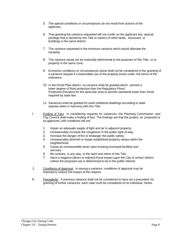- 5. The special conditions or circumstances do not result from actions of the applicant.
- 6. That granting the variance requested will not confer on the applicant any special privilege that is denied by this Title to owners of other lands, structures, or buildings in the same district.
- 7. The variance requested is the minimum variance which would alleviate the hardship.
- 8. The variance would not be materially detrimental to the purposes of this Title, or to property in the same zone.
- 9. Economic conditions or circumstances alone shall not be considered in the granting of a variance request if a reasonable use of the property exists under the terms of the ordinance.
- 10. In the Flood Plain district, no variance shall be granted which permits a lower degree of flood protection than the Regulatory Flood Protection Elevation for the particular area or permits standards lower than those required by state law.
- 11. Variances shall be granted for earth-sheltered dwellings according to state statutes when in harmony with this Title.
- I. Finding of Fact. In considering requests for variances, the Planning Commission and City Council shall make a finding of fact. The findings are that the project, as proposed or as approved, with conditions will not:
	- 1. Impair an adequate supply of light and air to adjacent property.
	- 2. Unreasonably increase the congestion in the public right-of-way.
	- 3. Increase the danger of fire or endanger the public safety.
	- 4. Unreasonably diminish or impair established property values within the neighborhood.
	- 5. Cause an unreasonable strain upon existing municipal facilities and services.
	- 6. Be contrary, in any way, to the spirit and intent of this Title.
	- 7. Have a negative (direct or indirect) fiscal impact upon the City or school district, unless the proposed use is determined to be in the public interest.
- J. Conditions of Approval. In issuing a variance, conditions of approval may be imposed to reduce the impact of the request.
- K. Precedents*.* A previous variance shall not be considered to have set a precedent for granting of further variances; each case must be considered on its individual merits.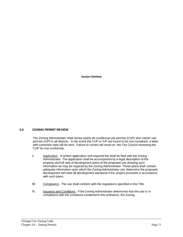**Section Omitted**

# **3.6 ZONING PERMIT REVIEW**

The Zoning Administrator shall review yearly all conditional use permits (CUP) and interim use permits (IUP) in all districts. In the event the CUP or IUP are found to be non-compliant, a letter with correction date will be sent. Failure to correct will result on the City Council reviewing the CUP for non-conformity.

- L. Application. A written application and required fee shall be filed with the Zoning Administrator. The application shall be accompanied by a legal description of the property and full sets of development plans of the proposed use showing such information as may be required by the Zoning Administrator. These plans shall contain adequate information upon which the Zoning Administrator can determine the proposed development will meet all development standards if the project proceeds in accordance with such plans.
- M. Compliance. The use shall conform with the regulations specified in this Title.
- N. Issuance and Conditions. If the Zoning Administrator determines that the use is in compliance with the conditions contained in this ordinance, the Zoning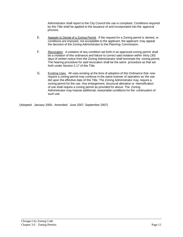Administrator shall report to the City Council the use is compliant. Conditions required by this Title shall be applied to the issuance of and incorporated into the approval process.

- E. Appeals to Denial of a Zoning Permit. If the request for a Zoning permit is denied, or conditions are imposed, not acceptable to the applicant, the applicant may appeal the decision of the Zoning Administrator to the Planning Commission.
- F. Revocation. A violation of any condition set forth in an approved zoning permit shall be a violation of this ordinance and failure to correct said violation within thirty (30) days of written notice from the Zoning Administrator shall terminate the zoning permit. The hearing procedure for said revocation shall be the same procedure as that set forth under Section 2.17 of this Title.
- G. Existing Uses. All uses existing at the time of adoption of this Ordinance that now require a zoning permit may continue in the same manner of operation as the use did upon the effective date of this Title. The Zoning Administrator may require a zoning permit for the use. Any enlargement, structural alteration or intensification of use shall require a zoning permit as provided for above. The Zoning Administrator may impose additional, reasonable conditions for the continuation of such use.

(Adopted: January 2000. Amended: June 2007, September 2007)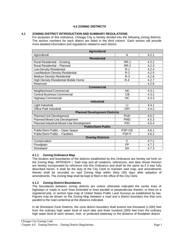# **4.0 ZONING DISTRICTS**

## **4.1 ZONING DISTRICT INTRODUCTION AND SUMMARY REGULATIONS**

For purposes of this ordinance, Chisago City is hereby divided into the following zoning districts. The section numbers for each district are listed in the third column. Each section will provide more detailed information and regulations related to each district.

| <b>Agricultural</b>                         |             |       |  |  |
|---------------------------------------------|-------------|-------|--|--|
| Agricultural                                | A           | 4.2.1 |  |  |
| <b>Residential</b>                          |             |       |  |  |
| <b>Rural Residential - Existing</b>         | <b>RR-1</b> | 4.2.2 |  |  |
| <b>Rural Residential - Planned</b>          | <b>RR-2</b> | 4.2.3 |  |  |
| Low Density Residential                     | $R-1$       | 4.2.4 |  |  |
| Low/Medium Density Residential              | $R-2$       | 4.2.5 |  |  |
| <b>Medium Density Residential</b>           | $R-3$       | 4.2.6 |  |  |
| <b>High Density Residential Mobile Home</b> | $R-4$       | 4.2.7 |  |  |
| Reserved                                    | Ξ.          | 4.2.8 |  |  |
| <b>Commercial</b>                           |             |       |  |  |
| Neighborhood Commercial                     | <b>NC</b>   | 4.3.1 |  |  |
| <b>Central Business Commercial</b>          | CB          | 4.3.2 |  |  |
| <b>Highway Commercial</b>                   | HC          | 4.3.3 |  |  |
| <b>Industrial</b>                           |             |       |  |  |
| Light Industrial                            | П           | 4.4.1 |  |  |
| <b>Office Park Industrial</b>               | <b>OPI</b>  | 4.4.2 |  |  |
| <b>Planned Development Districts</b>        |             |       |  |  |
| <b>Planned Unit Development</b>             | <b>PUD</b>  | 4.5.2 |  |  |
| Planned Mixed-Use Development               | <b>PMD</b>  | 4.5.3 |  |  |
| Planned Industrial Mixed-Use Development    | <b>PID</b>  | 4.5.4 |  |  |
| <b>Public/Semi Public</b>                   |             |       |  |  |
| Public/Semi Public - Open Space             | PSP-OS      | 4.6.1 |  |  |
| Public/Semi Public - Facilities             | PSP-F       | 4.6.2 |  |  |
| <b>Overlay Districts</b>                    |             |       |  |  |
| Conservation                                | C           | 4.7.1 |  |  |
| Floodplain                                  | <b>FP</b>   | 4.7.2 |  |  |
| Shoreland                                   | <b>SH</b>   | 4.7.3 |  |  |

#### **4.1.1 Zoning Ordinance Map**

The location and boundaries of the districts established by this Ordinance are hereby set forth on the Zoning Map, APPENDIX I. Said map and all notations, references, and data shown thereon are hereby incorporated by reference into this Ordinance and shall be the same as if it was fully described herein. It shall be the duty of the City Clerk to maintain said map, and amendments thereto shall be recorded on said Zoning Map within thirty (30) days after adoption of amendments. The Zoning Map shall be kept or filed in the office of the City Clerk.

#### **4.1.2 Zoning District Boundaries**

The boundaries between zoning districts are unless otherwise indicated the center lines of highways or roads or such lines extended or lines parallel or perpendicular thereto; or lines on a registered plat, or section type map of United States Public Land Surveys as established by law. Figures may be shown on the Zoning Map between a road and a district boundary line that runs parallel to the road centerline at the distance indicated.

In all Shoreland Zone Districts, the zone district boundary shall extend one thousand (1,000) feet from the ordinary high water level of each lake and three hundred (300) feet from the ordinary high water level of each stream, river, or protected waterway or the distance of floodplain district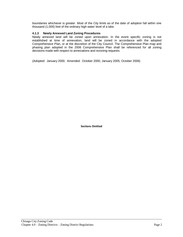boundaries whichever is greater. Most of the City limits as of the date of adoption fall within one thousand (1,000) feet of the ordinary high water level of a lake.

# **4.1.3 Newly Annexed Land Zoning Procedures**

Newly annexed land will be zoned upon annexation. In the event specific zoning is not established at time of annexation, land will be zoned in accordance with the adopted Comprehensive Plan, or at the discretion of the City Council. The Comprehensive Plan map and phasing plan adopted in the 2006 Comprehensive Plan shall be referenced for all zoning decisions made with respect to annexations and rezoning requests.

(Adopted: January 2000. Amended: October 2000, January 2005, October 2006)

**Sections Omitted**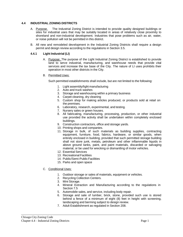#### **4.4 INDUSTRIAL ZONING DISTRICTS**

- A. Purpose. The Industrial Zoning District is intended to provide quality designed buildings or sites for industrial uses that may be suitably located in areas of relatively close proximity to shoreland and non-industrial development. Industries that pose problems such as air, water, or noise pollution will not be permitted in this district.
- B. All new and remodeled development in the Industrial Zoning Districts shall require a design permit and design review according to the regulations in Section 3.5.

## **4.4.1 Light Industrial (LI)**

- A. Purpose: The purpose of the Light Industrial Zoning District is established to provide land to serve industrial, manufacturing, and warehouse needs that provide vital services and increase the tax base of the City. The nature of LI uses prohibits their operation in most other districts in the City.
- B. Permitted Uses:

Such permitted establishments shall include, but are not limited to the following:

- 1. Light assembly/light manufacturing
- 2. Auto and truck washes
- 3. Storage and warehousing within a primary business
- 4. Carpet cleaning, dry cleaning
- 5. Custom shop for making articles produced, or products sold at retail on the premises.
- 6. Laboratory, research, experimental, and testing.
- 7. Nursery sales or green houses.
- 8. All fabricating, manufacturing, processing, production, or other industrial use provided the activity shall be undertaken within completely enclosed buildings.
- 9. Construction contractors, office and storage yards.
- 10. Printing shops and companies.
- 11. Storage in bulk, of such materials as building supplies, contracting equipment, furniture, food, fabrics, hardware, or similar goods, when entirely enclosed in building, provided that such permitted storage building shall not store junk, metals, petroleum and other inflammable liquids in above ground tanks, paint, and paint materials, discarded or salvaging material, or be used for wrecking or dismantling of motor vehicles.
- 12. Essential Services
- 13. Recreational Facilities
- 14. Public/Semi-PublicFacilities
- 15. Parks and open space
- C. Conditional Uses:
	- 1. Outdoor storage or sales of materials, equipment or vehicles.
	- 2. Recycling Collection Centers.
	- 3. Mini Storage.
	- 4. Mineral Extraction and Manufacturing according to the regulations in Section 7.5
	- 5. Automobile sales, and service, including body repair.
	- 6. Storage and sale of lumber, brick, stone, provided such use is stored behind a fence of a minimum of eight (8) feet in height with screening, landscaping and berming subject to design review.
	- 7. Adult Establishment as regulated in Section 208.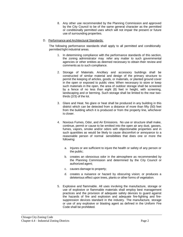- 8. Any other use recommended by the Planning Commission and approved by the City Council to be of the same general character as the permitted or conditionally permitted uses which will not impair the present or future use of surrounding properties.
- D. Performance and Architectural Standards:

The following performance standards shall apply to all permitted and conditionally permitted light industrial areas.

- 1. In determining compliance with the performance standards of this section, the zoning administrator may refer any matter to such governmental agencies or other entities as deemed necessary to obtain their review and comments as to such compliance.
- 2. Storage of Materials. Ancillary and accessory buildings shall be constructed of similar material and design of the primary structure to permit the keeping of articles, goods, or materials, or planted ground cover in the open or exposed to public view. When necessary to store or keep such materials in the open, the area of outdoor storage shall be screened by a fence of no less than eight (8) feet in height, with screening, landscaping and or berming. Such storage shall be limited to the rear twothirds (2/3) of the lot.
- 3. Glare and Heat. No glare or heat shall be produced in any building in this district which can be detected from a distance of more than fifty (50) feet from the building which it is produced or from the property line, whichever is closer.
- 4. Noxious Fumes, Odor, and Air Emissions. No use or structure shall make, continue, permit or cause to be emitted into the open air any dust, gasses, fumes, vapors, smoke and/or odors with objectionable properties and in such quantities as would be likely to cause discomfort or annoyance to a reasonable person of normal sensibilities that does one or more the following:
	- a. Injures or are sufficient to injure the health or safety of any person or the public;
	- b. creates an obnoxious odor in the atmosphere as recommended by the Planning Commission and determined by the City Council or authorized agent;
	- c. causes damage to property;
	- d. creates a nuisance or hazard by obscuring vision; or produces a deleterious effect upon trees, plants or other forms of vegetation.
- 5. Explosive and flammable. All uses involving the manufacture, storage or use of explosive or flammable materials shall employ best management practices and the provision of adequate safety devices to guard against the hazards of fire and explosion and adequate fire-fighting and firesuppression devices standard in the industry. The manufacture, storage or use of any explosive or blasting agent as defined in the Uniform Fire Code shall be prohibited.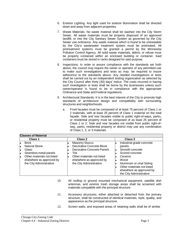- 6. Exterior Lighting. Any light used for exterior illumination shall be directed down and away from adjacent properties.
- 7. Waste Materials. No waste material shall be washed into the City Storm Sewer. All waste materials must be properly disposed of an approved landfill, or into the City Sanitary Sewer System as governed by the City Sewer use ordinance. Any waste material which is found to be untreatable by the City's wastewater treatment system must be pretreated. All pretreatment systems must be granted a permit by the Minnesota Pollution Control Agency. All solid waste materials, debris, or refuse must be properly contained within an enclosed building or container. Said containers must be stored in racks designed for said purpose.
- 8. Inspections. In order to assure compliance with the standards set forth above, the council may require the owner or operator of any permitted use to make such investigations and tests as may be required to insure adherence to the standards above. Any needed investigations or tests shall be carried out by an independent testing organization as selected by the City Council after thirty (30) days' notice. The costs incurred in having such investigation or tests shall be borne by the businesses unless such owner/operator is found to be in compliance with the appropriate Ordinance and State and Federal regulations.
- 9. Architectural Standards: It is in the best interest of the City to promote high standards of architecture design and compatibility with surrounding structures and neighborhoods.
	- a. Front facades must be composed of at least 75 percent of Class 1 or 2 materials, with at least 25 percent of Class 1 material on the total façade. Side and rear facades visible to public right-of-ways, parks, or residential property must be composed of as least 25 percent of Class 1 or 2. Side and rear facades not visible from public right-ofway, parks, residential property or district may use any combination of Class 1, 2, or 3 materials.

| <b>ICIASSES OF MATERIAL</b>                                                                                                                                                       |                                                                                                                                                                               |                                                                                                                                                                                                               |
|-----------------------------------------------------------------------------------------------------------------------------------------------------------------------------------|-------------------------------------------------------------------------------------------------------------------------------------------------------------------------------|---------------------------------------------------------------------------------------------------------------------------------------------------------------------------------------------------------------|
| Class 1                                                                                                                                                                           | Class 2                                                                                                                                                                       | Class 3                                                                                                                                                                                                       |
| <b>Brick</b><br><b>Natural Stone</b><br>ı<br>Glass<br>Iп<br>Seamless metal panels<br>E<br>Other materials not listed<br>ıн<br>elsewhere as approved by<br>the City Administrative | <b>Masonry Stucco</b><br>Decorative Concrete Block<br>Decorative Concrete Panels<br>Tile<br>Other materials not listed<br>elsewhere as approved by<br>the City Administrative | Industrial grade concrete<br>panels<br>Smooth concrete<br>Scored concrete<br>Ceramic<br>Wood<br>Aluminum or vinyl Siding<br>Other materials not listed<br>elsewhere as approved by<br>the City Administrative |

- 10. All rooftop or ground mounted mechanical equipment, satellite dish antennas, and exterior trash storage areas shall be screened with materials compatible with the principal structure.
- 11. Accessory structures, either attached or detached from the primary structure, shall be constructed of identical materials, style, quality, and appearance as the principal structure.
- 12. Screen walls, and exposed areas of retaining walls shall be of similar

**Classes of Material**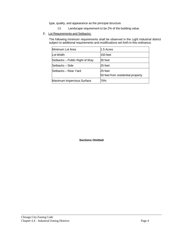type, quality, and appearance as the principal structure.

- 13. Landscape requirement to be 2% of the building value.
- E. Lot Requirements and Setbacks:

The following minimum requirements shall be observed in the Light Industrial district subject to additional requirements and modifications set forth in this ordinance.

| Minimum Lot Area               | l1.5 Acres                                   |
|--------------------------------|----------------------------------------------|
| Lot Width                      | l150 feet                                    |
| Setbacks - Public Right of Way | 35 feet                                      |
| lSetbacks – Side               | 25 feet                                      |
| lSetbacks – Rear Yard          | 25 feet<br>50 feet from residential property |
| Maximum Impervious Surface     | 70%                                          |

**Sections Omitted**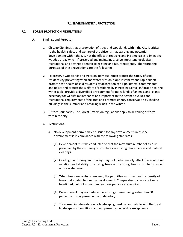#### **7.1 ENVIRONMENTAL PROTECTION**

#### **7.2 FOREST PROTECTION REGULATIONS**

## **A.** Findings and Purpose.

- 1. Chisago City finds that preservation of trees and woodlands within the City is critical to the health, safety and welfare of the citizens; that existing and potential development within the City has the effect of reducing and in some cases eliminating wooded area, which, if preserved and maintained, serve important ecological, recreational and aesthetic benefit to existing and future residents. Therefore, the purposes of these regulations are the following:
- 2. To preserve woodlands and trees on individual sites; protect the safety of said residents by preventing wind and water erosion, slope instability and rapid runoff promote the health of said residents by absorption of air pollutants, contaminants and noise; and protect the welfare of residents by increasing rainfall infiltration to the water table, provide a diversified environment for many kinds of animals and plants necessary for wildlife maintenance and important to the aesthetic values and recreational requirements of the area and promote energy conservation by shading buildings in the summer and breaking winds in the winter.
- 3. District Boundaries. The Forest Protection regulations apply to all zoning districts within the city.
- 4. Restrictions.
	- a. No development permit may be issued for any development unless the development is in compliance with the following standards:
		- (1) Development must be conducted so that the maximum number of trees is preserved by the clustering of structures in existing cleared areas and natural clearings.
		- (2) Grading, contouring and paving may not detrimentally affect the root zone aeration and stability of existing trees and existing trees must be provided with a water area.
		- (3) When trees are lawfully removed, the permittee must restore the density of trees that existed before the development. Comparable nursery stock must be utilized, but not more than ten trees per acre are required.
		- (4) Development may not reduce the existing crown cover greater than 50 percent and may preserve the under-story.
		- (5) Trees used in reforestation or landscaping must be compatible with the local landscape and conditions and not presently under disease epidemic.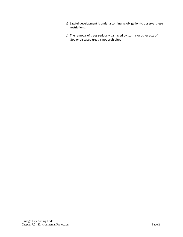- (a) Lawful development is under a continuing obligation to observe these restrictions.
- (b) The removal of trees seriously damaged by storms or other acts of God or diseased trees is not prohibited.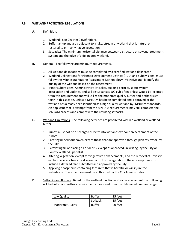# **7.3 WETLAND PROTECTION REGULATIONS**

# **A.** Definition.

- 1. Wetland: See Chapter 9 (Definitions).
- 2. Buffer: an upland area adjacent to a lake, stream or wetland that is natural or restored to primarily native vegetation.
- 3. Setbacks: The minimum horizontal distance between a structure or sewage treatment system and the edge of a delineated wetland.
- **B.** General. The following are minimum requirements.
	- 1. All wetland delineations must be completed by a certified wetland delineator.
	- 2. Wetland Delineations for Planned Development Districts (PDD) and Subdivisions must follow the Minnesota Routine Assessment Methodology (MNRAM) and identify the quality of the wetland based on the assessment.
	- 3. Minor subdivisions, Administrative lot splits, building permits, septic system installation and updates, and soil disturbances 100 cubic feet or less would be exempt from this requirement and will utilize the moderate quality buffer and setbacks set forth in this section, unless a MNRAM has been completed and approved or the wetland has already been identified as a high quality wetland by MNRAM standards. An applicant that is exempt from the MNRAM requirements may still complete the MNRAM process and comply with the resulting setbacks.
- **C.** Wetland Limitations. The following activities are prohibited within a wetland or wetland buffer:
	- 1. Runoff must not be discharged directly into wetlands without presettlement of the runoff.
	- 2. Creating impervious cover, except those that are approved through plan review or by the City.
	- 3. Excavating fill or placing fill or debris, except as approved, in writing, by the City or County Wetland Specialist.
	- 4. Altering vegetation, except for vegetative enhancements, and the removal of invasive exotic species or trees for disease control or revegetation. These exceptions must include a detailed plan submitted and approved by the City.
	- 5. Applying phosphorus-containing fertilizers that is harmful or will injure the waterbody. The exception must be authorized by the City Administrator.
- **D.** Setbacks and Buffers. Based on the wetland function and value assessment the following will be buffer and setback requirements measured from the delineated wetland edge.

| Low Quality      | <b>Buffer</b> | 15 feet |
|------------------|---------------|---------|
|                  | Setback       | 15 feet |
| Moderate Quality | <b>Buffer</b> | 20 feet |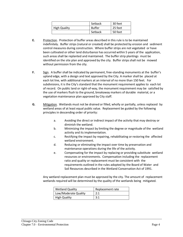|                     | Setback       | 30 feet |
|---------------------|---------------|---------|
| <b>High Quality</b> | <b>Buffer</b> | 25 feet |
|                     | Setback       | 50 feet |

- **E.** Protection. Protection of buffer areas described in this rule is to be maintained indefinitely. Buffer strips (natural or created) shall be protected by erosion and sediment control measures during construction. Where buffer strips are not vegetated or have been cultivated or other land disturbance has occurred within 5 years of the application, such areasshall be replanted and maintained. The buffer strip plantings must be identified on the site plan and approved by the city. Buffer strips shall not be mowed without permission from the city.
- **F.** Sign. A buffer shall be indicated by permanent, free-standing monuments at the buffer's upland edge, with a design and text approved by the City. A marker shall be placed at each lot line, with additional markers at an interval of no more than 150 feet. For subdivisions, it is the City's standard that the monument requirement applies to each lot of record. On public land or right-of-way, the monument requirement may be satisfied by the use of markers flush to the ground, breakaway markers of durable material, or a vegetation maintenance plan approved by City staff.
- **G.** Mitigation. Wetlands must not be drained or filled, wholly or partially, unless replaced by wetland areas of at least equal public value. Replacement be guided by the following principles in descending order of priority:
	- a. Avoiding the direct or indirect impact of the activity that may destroy or diminish the wetland.
	- b. Minimizing the impact by limiting the degree or magnitude of the wetland activity and its implementation.
	- c. Rectifying the impact by repairing, rehabilitating or restoring the affected wetland environment.
	- d. Reducing or eliminating the impact over time by preservation and maintenance operations during the life of the activity.
	- e. Compensating for the impact by replacing or providing substitute wetland resources or environments. Compensation including the replacement ratio and quality or replacement must be consistent with the requirements outlined in the rules adopted by the Board of Water and Soil Resources described in the Wetland Conservation Act of 1991.

Any wetland replacement plan must be approved by the city. The amount of replacement wetlands required will be determined by the quality of the wetlands being mitigated.

| <b>Wetland Quality</b> | Replacement rate |  |
|------------------------|------------------|--|
| Low/Moderate Quality   | 2:1              |  |
| <b>High Quality</b>    | 3:1              |  |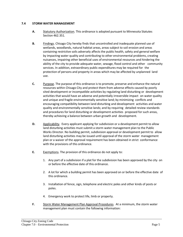# **7.4 STORM WATER MANAGEMENT**

- **A.** Statutory Authorization. This ordinance is adopted pursuant to Minnesota Statutes Section 462.351.
- **B.** Findings. Chisago City hereby finds that uncontrolled and inadequate planned use of wetlands, woodlands, natural habitat areas, areas subject to soil erosion and areas containing restrictive soils adversely affects the public health, safety and general welfare by impacting water quality and contributing to other environmental problems, creating nuisances, impairing other beneficial uses of environmental resources and hindering the ability of the city to provide adequate water, sewage, flood control and other community services. In addition, extraordinary public expenditures may be required for the protection of persons and property in areas which may be affected by unplanned land use.
- **C.** Purpose. The purpose of this ordinance is to promote, preserve and enhance the natural resources within Chisago City and protect them from adverse effects caused by poorly sited development or incompatible activities by regulating land disturbing or development activities that would have an adverse and potentially irreversible impact on water quality and unique and fragile environmentally sensitive land; by minimizing conflicts and encouraging compatibility between land disturbing and development activities and water quality and environmentally sensitive lands; and by requiring detailed review standards and procedures for land disturbing or development activities proposed for such areas, thereby achieving a balance between urban growth and development.
- **D.** Applicability. Every applicant applying forsubdivision or a development permit to allow land disturbing activities must submit a storm water management plan to the Public Works Director. No building permit, subdivision approval or development permit to allow land disturbing activities may be issued until approval of the storm water management plan or a waiver of the approval requirement has been obtained in strict conformance with the provisions of this ordinance.
- **E.** Exemptions. The provision of this ordinance do not apply to:
	- 1. Any part of a subdivision if a plat for the subdivision has been approved by the city on or before the effective date of this ordinance.
	- 2. A lot for which a building permit has been approved on or before the effective date of this ordinance.
	- 3. Installation of fence, sign, telephone and electric poles and other kinds of posts or poles.
	- 4. Emergency work to protect life, limb or property.
- **F.** Storm Water Management Plan Approval Procedures. At a minimum, the storm water management plan must contain the following information: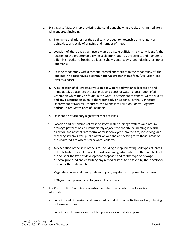- 1. Existing Site Map. A map of existing site conditions showing the site and immediately adjacent areas including:
	- a. The name and address of the applicant, the section, township and range, north point, date and scale of drawing and number of sheet.
	- b. Location of the tract by an insert map at a scale sufficient to clearly identify the location of the property and giving such information as the streets and number of adjoining roads, railroads, utilities, subdivisions, towns and districts or other landmarks.
	- c. Existing topography with a contour interval appropriate to the topography of the land but in no case having a contour interval greater than 2 feet. (Use urban sea level as a base).
	- d. A delineation of all streams, rivers, public waters and wetlands located on and immediately adjacent to the site, including depth of water, a description of all vegetation which may be found in the water, a statement of general water quality and any classification given to the water body or wetlands by the Minnesota Department of Natural Resources, the Minnesota Pollution Control Agency and/or United States Corp of Engineers.
	- e. Delineation of ordinary high water mark of lakes.
	- f. Location and dimensions of existing storm water drainage systems and natural drainage patterns on and immediately adjacent to the site delineating in which direction and at what rate storm water is conveyed from the site, identifying and receiving stream, river, public water or wetland and setting forth those areas of the unaltered site where storm water collects.
	- g. A description of the soils of the site, including a map indicating soil types of areas to be disturbed as well as a soil report containing information on the suitability of the soils for the type of development proposed and for the type of sewage disposal proposed and describing any remedial steps to be taken by the developer to render the soils suitable.
	- h. Vegetative cover and clearly delineating any vegetation proposed for removal.
	- i. 100-year floodplains, flood fringes and floodways.
- 2. Site Construction Plan. A site construction plan must contain the following information:
	- a. Location and dimension of all proposed land disturbing activities and any phasing of those activities.
	- b. Locations and dimensions of all temporary soils or dirt stockpiles.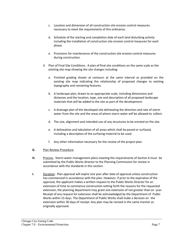- c. Location and dimension of all construction site erosion control measures necessary to meet the requirements of this ordinance.
- d. Schedule of the starting and completion date of each land disturbing activity including the installation of construction site erosion control measures for each phase.
- e. Provisions for maintenance of the construction site erosion control measures during construction.
- 3. Plan of Final Site Conditions. A plan of final site conditions on the same scale as the existing site map showing the site changes including:
	- a. Finished grading shown at contours at the same interval as provided on the existing site map indicating the relationship of proposed changes to existing topography and remaining features.
	- b. A landscape plan, drawn to an appropriate scale, including dimensions and distances and the location, type, size and description of all proposed landscape materials that will be added to the site as part of the development.
	- c. A drainage plan of the developed site delineating the direction and rate of storm water from the site and the areas of where storm water will be allowed to collect.
	- d. The size, alignment and intended use of any structures to be erected on the site.
	- e. A delineation and tabulation of all areas which shall be paved or surfaced, including a description of the surfacing material to be used.
	- f. Any other information necessary for the review of the project plan.
- **G.** Plan Review Procedure.
- **H.** Process. Storm water management plans meeting the requirements of Section 6 must be submitted by the Public Works director to the Planning Commission for review in accordance with the standards in this section.
- **I.** Duration. Plan approval will expire one year after date of approval unless construction has commenced in accordance with the plan. However, if prior to the expiration of the approval, the applicant makes a written request to the Public Works Director for an extension of time to commence construction setting forth the reasons for the requested extension, the planning department may grant one extension of not greater than on year. Receipt of any request for extension shall be acknowledged by the Department of Public Works within 15 days. The Department of Public Works shall make a decision on the extension within 30 days of receipt. Any plan may be revised in the same manner as originally approved.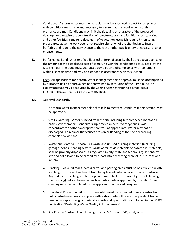- **J.** Conditions. A storm water management plan may be approved subject to compliance with conditions reasonable and necessary to insure that the requirements of this ordinance are met. Conditions may limit the size, kind or character of the proposed development, require the construction of structures, drainage facilities, storage basins and other facilities, require replacement of vegetation, establish required monitoring procedures, stage the work over time, require alteration of the site design to insure buffering and require the conveyance to the city or other public entity of necessary lands or easements.
- **K.** Performance Bond. A letter of credit or other form of security shall be requested to cover the amount of the established cost of complying with the conditions as calculated by the City Engineer. The bond must guarantee completion and compliance with conditions within a specific time and may be extended in accordance with this section.
- **L.** Fees. All applications for a storm water management plan approval must be accompanied by a processing and approval fee as determined by resolution of the City Council an escrow account may be required by the Zoning Administration to pay for actual engineering costs incurred by the City Engineer.

# **M.** Approval Standards.

- 1. No storm water management plan that fails to meet the standards in this section may be approved.
- 2. Site Dewatering. Water pumped from the site including temporary sedimentation basins, grit chambers,-sand filters, up-flow chambers, hydrocyclones, swirl concentrators or other appropriate controls as appropriate. Water may not be discharged in a manner that causes erosion or flooding of the site or receiving channels of a wetland.
- 3. Waste and Material Disposal. All waste and unused building materials (including garbage, debris, cleaning wastes, wastewater, toxic materials or hazardous materials) shall be properly disposed of, as regulated by city, state and federal regulations, offsite and not allowed to be carried by runoff into a receiving channel or storm sewer system.
- 4. Tracking. Graveled roads, access drives and parking areas must be of sufficient width and length to prevent sediment from being traced onto public or private roadways. Any sediment reaching a public or private road shall be removed by Street cleaning (not flushing) before the end of each workday, unless approved by the city. Street cleaning must be completed by the applicant or approved designee.
- 5. Drain Inlet Protection. All storm drain inlets must be protected during construction until control measures are in place with a straw bale, silt fence or equivalent barrier meeting accepted design criteria, standards and specifications contained in the MPCA publication "Protecting Water Quality in Urban Areas".
- 6. Site Erosion Control. The following criteria ("a" through "d") apply only to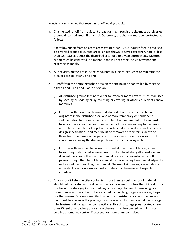construction activities that result in runoff leaving the site.

a. Channelized runoff from adjacent areas passing through the site must be diverted around disturbed areas, if practical. Otherwise, the channel must be protected as follows:

Sheetflow runoff from adjacent areas greater than 10,000 square feet in area shall be diverted around disturbed areas, unless shown to have resultant runoff of less than 0.5 ft.3/sec. across the disturbed area for a one-year storm event. Diverted runoff must be conveyed in a manner that will not erode the conveyance and receiving channels.

- b. All activities on the site must be conducted in a logical sequence to minimize the area of bare soil at any one time.
- c. Runoff from the entire disturbed area on the site must be controlled by meeting either 1 and 2 or 1 and 3 of this section.
	- (1) All disturbed ground left inactive for fourteen or more days must be stabilized by seeding or sodding or by mulching or covering or other equivalent control measures.
	- (2) For sites with more than ten acres disturbed at one time, or if a channel originates in the disturbed area, one or more temporary or permanent sedimentation basins must be constructed. Each sedimentation basin must have a surface area of at least one percent of the area draining to the basin and at least three feet of depth and constructed in accordance with accepted design specifications. Sediment must be removed to maintain a depth of three feet. The basin discharge rate must also be sufficiently low as to not cause erosion along the discharge channel or the receiving water.
	- (3) For sites with less than ten acres disturbed at one time, silt fences, straw bales or equivalent control measures must be placed along all side-slope and down-slope sides of the site. If a channel or area of concentrated runoff passes through the site, silt fences must be placed along the channel edges to reduce sediment reaching the channel. The use of silt fences, straw bales or equivalent control measures must include a maintenance and inspection schedule.
- d. Any soil or dirt storage piles containing more than ten cubic yards of material should not be located with a down-slope drainage length of less than 25 feet from the toe of the storage pile to a roadway or drainage channel. If remaining for more than seven days, it must be stabilized by mulching, vegetative cover, tarps or other means. Erosion form piles that will be in existence for less than seven days must be controlled by placing straw bales or silt barriers around the storage pile. In-street utility repair or construction soil or dirt storage piles located closer than 25 feet of a roadway or drainage channel must be covered with tarps or suitable alternative control, if exposed for more than seven days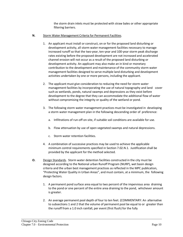the storm drain inlets must be protected with straw bales or other appropriate filtering barriers.

- **N.** Storm Water Management Criteria for Permanent Facilities.
	- 1. An applicant must install or construct, on or for the proposed land disturbing or development activity, all storm water management facilities necessary to manage increased runoff so that the two-year, ten-year and 100-year storm peak discharge rates existing before the proposed development are not increased and accelerated channel erosion will not occur as a result of the proposed land disturbing or development activity. An applicant may also make an in kind or monetary contribution to the development and maintenance of the community storm water management facilities designed to serve multiple land disturbing and development activities undertaken by one or more persons, including the applicant.
	- 2. The applicant must give consideration to reducing the need for storm water management facilities by incorporating the use of natural topography and land cover such as wetlands, ponds, natural swamps and depressions as they exist before development to the degree that they can accommodate the additional flow of water without compromising the integrity or quality of the wetland or pond.
	- 3. The following storm water management practices must be investigated in developing a storm water management plan in the following descending order of preference:
		- a. Infiltrations of run-off on-site, if suitable soil conditions are available for use.
		- b. Flow attenuation by use of open vegetated swamps and natural depressions.
		- c. Storm water retention facilities.
	- 4. A combination of successive practices may be used to achieve the applicable minimum control requirements specified in Section 7.02.N.1. Justification shall be provided by the applicant for the method selected.
- **O.** Design Standards. Storm water detention facilities constructed in the city must be designed according to the National urban Runoff Program (NURP), wet basin design criteria and the urban best management practices as reflected in the MPC publication, "Protecting Water Quality in Urban Areas", and must contain, at a minimum, the following design factors.
	- 1. A permanent pond surface area equal to two percent of the impervious area draining to the pond or one percent of the entire area draining to the pond, whichever amount is greater.
	- 2. An average permanent pool depth of four to ten feet. (COMMENTARY: An alternative to subsections 1 and 2 that the volume of permanent pool be equal to or greater than the runoff from a 1.0 inch rainfall, per event (first flush) for the fully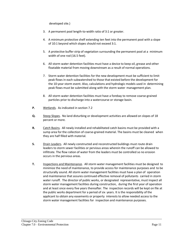developed site.)

- 3. A permanent pool length-to-width ratio of 3:1 or greater.
- 4. A minimum protective shelf extending ten feet into the permanent pool with a slope of 10:1 beyond which slopes should not exceed 3:1.
- 5. A protective buffer strip of vegetation surrounding the permanent pool at a minimum width of one rod (16.5 feet).
- 6. All storm water detention facilities must have a device to keep oil, grease and other floatable material from moving downstream as a result of normal operations.
- 7. Storm water detention facilities for the new development must be sufficient to limit peak flows in each subwatershed to those that existed before the development for the 10-year storm event. Also, calculations and hydrologic models used in determining peak flows must be submitted along with the storm water management plan.
- 8. All storm water detention facilities must have a forebay to remove coarse-grained particles prior to discharge into a watercourse or storage basin.
- **P.** Wetlands. As indicated in section 7.2
- **Q.** Steep Slopes. No land disturbing or development activities are allowed on slopes of 18 percent or more.
- **R.** Catch Basins. All newly installed and rehabilitated catch basins must be provided with a sump area for the collection of coarse-grained material. The basins must be cleaned when they are half filled with material.
- **S.** Drain Leaders. All newly constructed and reconstructed buildings must route drain leaders to storm sewer facilities or pervious areas wherein the runoff can be allowed to infiltrate. The flow ration of water from the leaders must be controlled so no erosion occurs in the pervious areas.
- **T.** Inspections and Maintenance. All storm water management facilities must be designed to minimize the need of maintenance, to provide access for maintenance purposes and to be structurally sound. All storm water management facilities must have a plan of operation and maintenance that assures continued effective removal of pollutants carried in storm water runoff. The director of public works, or designated representative, must inspect all storm water management facilities during construction, during the first year of operation and at least once every five years thereafter. The inspection records will be kept on file at the public works department for a period of six years. It is the responsibility of the applicant to obtain any easements or property interests to allow needed access to the storm water management facilities for inspection and maintenance purposes.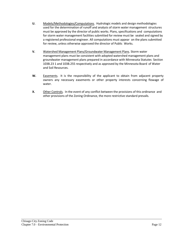- **U.** Models/Methodologies/Computations. Hydrologic models and design methodologies used for the determination of runoff and analysis of storm water management structures must be approved by the director of public works. Plans, specifications and computations for storm water management facilities submitted for review must be sealed and signed by a registered professional engineer. All computations must appear on the plans submitted for review, unless otherwise approved the director of Public Works.
- **V.** Watershed Management Plans/Groundwater Management Plans*.* Storm water management plans must be consistent with adopted watershed management plans and groundwater management plans prepared in accordance with Minnesota Statutes Section 103B.23 1 and 103B.255 respectively and as approved by the Minnesota Board of Water and Soil Resources.
- W. Easements. It is the responsibility of the applicant to obtain from adjacent property owners any necessary easements or other property interests concerning flowage of water.
- **X.** Other Controls. In the event of any conflict between the provisions of this ordinance and other provisions of the Zoning Ordinance, the more restrictive standard prevails.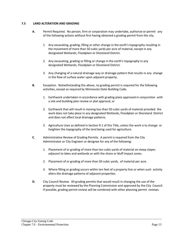# **7.5 LAND ALTERATION AND GRADING**

- **A.** Permit Required. No person, firm or corporation may undertake, authorize or permit any of the following actions without first having obtained a grading permit from the city.
	- 1. Any excavating, grading, filling or other change in the earth's topography resulting in the movement of more than 50 cubic yards per acre of material, except in any designated Wetlands, Floodplain or Shoreland District.
	- 2. Any excavating, grading or filling or change in the earth's topography in any designated Wetlands, Floodplain or Shoreland District.
	- 3. Any changing of a natural drainage way or drainage pattern that results in any change in the flow of surface water upon adjacent property.
- **B.** Exception. Notwithstanding the above, no grading permit is required for the following activities, except as required by Minnesota State Building Code.
	- 1. Earthwork undertaken in accordance with grading plans approved in conjunction with a site and building plan review or plat approval, or
	- 2. Earthwork that will result in moving less than 50 cubic yards of material provided the work does not take place in any designated Wetlands, Floodplain or Shoreland District and does not affect local drainage patterns.
	- 3. Agriculture Uses as defined in Section 9.1 of this Title, unless the work is to change or heighten the topography of the land being used for agriculture.
- **C.** Administrative Review of Grading Permits. A permit is required from the City Administrator or City Engineer or designee for any of the following:
	- 1. Placement of or grading of more than ten cubic yards of material on steep slopes adjacent to lakes and wetlands or with the shore or bluff impact zones.
	- 2. Placement of or grading of more than 50 cubic yards, of material per acre.
	- 3. Where filling or grading occurs within ten feet of a property line or when such activity alters the drainage patterns of adjacent properties.
- **D.** City Council Review. All grading permits that would result in changing the use of the property must be reviewed by the Planning Commission and approved by the City Council. If possible, grading permit review will be combined with other planning permit reviews.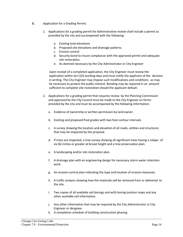- **E.** Application for a Grading Permit.
	- 1. Applications for a grading permit for Administrative review shall include a permit as provided by the city and accompanied with the following:
		- a. Existing land elevations
		- b. Proposed site elevations and drainage patterns.
		- c. Erosion control
		- d. Security bond to insure compliance with the approved permit and adequate site restoration.
		- e. As deemed necessary by the City Administrator or City Engineer

Upon receipt of a completed application, the City Engineer must review the application within ten (10) working days and must notify the applicant of the decision in writing. The City Engineer may impose such modifications and conditions as may be necessary to protect the public interest. Bonding may be required in an amount sufficient to complete site restoration should the applicant default.

- 2. Applications for a grading permit that requires review by the Planning Commission and approved by the City Council must be made to the City Engineer on forms provided by the city and must be accompanied by the following information:
	- a. Evidence of ownership or written permission by land owner.
	- b. Existing and proposed final grades with two foot contour intervals.
	- c. A survey showing the location and elevation of all roads, utilities and structures that may be impacted by the proposal.
	- d. If trees are impacted, a tree survey showing all significant trees having a caliper of six (6) inches or greater at breast height and a tree preservation plan.
	- e. A landscaping and/or site restoration plan.
	- f. A drainage plan with an engineering design for necessary storm water retention work.
	- g. An erosion control plan indicating the type and location of erosion measures.
	- h. A traffic analysis showing how the materials will be removed from or delivered to the site.
	- i. Two copies of all available soil borings and with boring location maps and any other available soil information.
	- j. Any other information that may be required by the City Administrator or City Engineer or designee.
	- k. A completion schedule of building construction phasing.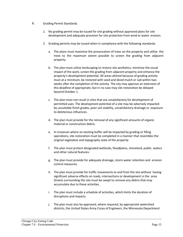- **F.** Grading Permit Standards.
	- 1. No grading permit may be issued forsite grading without approved plans forsite development and adequate provision for site protection from wind or water erosion.
	- 2. Grading permits may be issued when in compliance with the following standards:
		- a. The plans must maximize the preservation of trees on the property and utilize the trees to the maximum extent possible to screen the grading from adjacent property.
		- b. The plan must utilize landscaping to restore site aesthetics, minimize the visual impact of the work, screen the grading from adjacent property and enhance the property's development potential. All areas altered because of grading activity must at a minimum, be restored with seed and diced mulch or sod within two weeks after the completion of the activity. The city may approve an extension of this deadline of appropriate, but in no case may site restoration be delayed beyond October 1.
		- c. The plan must not result in sites that are unsatisfactory for development of permitted uses. The development potential of a site may be adversely impacted by unsuitable finish grades, poorsoil stability, unsatisfactory drainage or exposure to deleterious influences.
		- d. The plan must provide for the removal of any significant amounts of organic material or construction debris.
		- e. In instances where an existing buffer will be impacted by grading or filling operations, site restoration must be completed in a manner that resembles the original vegetative and topography state of the property.
		- f. The plan must protect designated wetlands, floodplains, shoreland, public waters and other natural features:
		- g. The plan must provide for adequate drainage, storm water retention and erosion control measures.
		- h. The plan must provide for traffic movements to and from the site without having significant adverse effects on roads, intersections or development in the area. Streets surrounding the site must be swept to remove any debris that may accumulate due to these activities.
		- i. The plan must include a schedule of activities, which limits the duration of disruptions and impacts.
		- j. The plan must also be approved, where required, by appropriate watershed districts, the United States Army Corps of Engineers, the Minnesota Department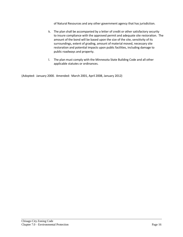of Natural Resources and any other government agency that has jurisdiction.

- k. The plan shall be accompanied by a letter of credit or other satisfactory security to insure compliance with the approved permit and adequate site restoration. The amount of the bond will be based upon the size of the site, sensitivity of its surroundings, extent of grading, amount of material moved, necessary site restoration and potential impacts upon public facilities, including damage to public roadways and property.
- l. The plan must comply with the Minnesota State Building Code and all other applicable statutes or ordinances.

(Adopted: January 2000. Amended: March 2001, April 2008, January 2012)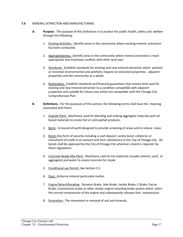#### **7.6** MINERAL EXTRACTION AND MANUFACTURING

- A. **Purpose**. The purpose of this Ordinance is to protect the public health, safety and welfare through the following:
	- 1. Existing Activities. Identify areas in the community where existing mineral extraction has been conducted.
	- 2. Appropriateness. Identify areas in the community where mineral extraction is most appropriate and minimizes conflicts with other land uses.
	- 3. Standards. Establish standards for existing and new mineral extraction which prevent or minimize environmental and aesthetic impacts on extracted properties, adjacent properties and the community as a whole.
	- 4. Restoration. Establish standards and financial guarantees that restore land used for existing and new mineral extraction to a condition compatible with adjacent properties and suitable for future uses which are compatible with the Chisago City Comprehensive Plan.
- **B. Definitions**. For the purposes of this section, the following terms shall have the meaning associated with them:
	- 1. Asphalt Plant: Machinery used for blending and making aggregate materials with oil based materials to create hot or cold asphalt products.
	- 2. Berm: A mound of earth designed to provide screening of areas and to reduce noise.
	- 3. Bond: Any form of security including a cash deposit, surety bond, collateral, or instrument of credit in an amount and form satisfactory to the City of Chisago City. All bonds shall be approved by the City of Chisago City wherever a bond is required by these regulations.
	- 4. Concrete Ready-Mix Plant: Machinery used to mix materials (usually cement, sand, or aggregate) and water to create concrete for resale.
	- 5. Conditional use Permit: See Section 3.1.
	- 6. Dust: Airborne mineral particulate matter.
	- 7. Engine Retard Breaking: Dynamic Brake, Jake Brake, Jacobs Brake, C Brake, Paccar Brake, transmission brake or other similar engine retarding brake system which alters the normal compression of the engine and subsequently releases that compression.
	- 8. Excavation: The movement or removal of soil and minerals.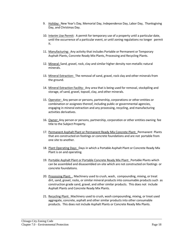- 9. Holiday: New Year's Day, Memorial Day, Independence Day, Labor Day, Thanksgiving Day, and Christmas Day.
- 10. Interim Use Permit: A permit for temporary use of a property until a particular date, until the occurrence of a particular event, or until zoning regulations no longer permit it.
- 11. Manufacturing: Any activity that includes Portable or Permanent or Temporary Asphalt Plants, Concrete Ready Mix Plants, Processing and Recycling Plants.
- 12. Mineral: Sand, gravel, rock, clay and similar higher density non-metallic natural minerals.
- 13. Mineral Extraction: The removal of sand, gravel, rock clay and other minerals from the ground.
- 14. Mineral Extraction Facility: Any area that is being used for removal, stockpiling and storage, of sand, gravel, topsoil, clay, and other minerals.
- 15. Operator: Any person or persons, partnership, corporations or other entities or combination or assignees thereof, including public or governmental agencies, engaging in mineral extraction and any processing, recycling, and manufacturing activities derivatives.
- 16. Owner: Any person or persons, partnership, corporation or other entities owning fee title to the Subject Property.
- 17. Permanent Asphalt Plant or Permanent Ready Mix Concrete Plant: Permanent Plants that are constructed on footings or concrete foundations and are not portable from one site to another.
- 18. Plant Operating Days: Days in which a Portable Asphalt Plant or Concrete Ready Mix Plant is on and operating.
- 19. Portable Asphalt Plant or Portable Concrete Ready Mix Plant: Portable Plants which can be assembled and disassembled on-site which are not constructed on footings or concrete foundations.
- 20. Processing Plant: , Machinery used to crush, wash, compounding, mixing, or treat dirt, sand, gravel, rocks, or similar mineral products into consumable products such as construction grade sand, gravel, and other similar products. This does not include Asphalt Plants and Concrete Ready Mix Plants.
- 21. Recycling Plant: Machinery used to crush, wash compounding, mixing, or treat used aggregate, concrete, asphalt and other similar products into other consumable products. This does not include Asphalt Plants or Concrete Ready Mix Plants.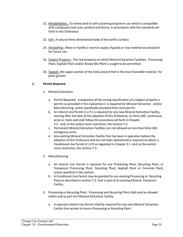- 22. Rehabilitation: To renew land to self-sustaining long-term use which is compatible with contiguous land uses, present and future, in accordance with the standards set forth in this Ordinance.
- 23. Soil: A natural three dimensional body of the earth's surface.
- 24. Stockpiling: Move or handle a reserve supply of goods or raw material accumulated for future use.
- 25. Subject Property: The real property on which Mineral Extraction Facilities, Processing Plant, Asphalt Plant and/or Ready Mix Plant is sought to be permitted.
- 26. Topsoil: the upper portion of the Soils present that is the most favorable material for plant growth.

## **C. Permit Required.**

- 1. Mineral Extraction.
	- a. Permit Required. Irrespective of the zoning classification of a Subject property a permit, as provided in this Subsection C is required for Mineral Extraction and/or Manufacturing, unless specifically accepted from such permit.
	- b. An Interim Use Permit (I.U.P.) is required for any new Mineral Extraction Facility, starting after the date of the adoption of this Ordinance, on forty (40) continuous acres or more and shall follow the procedure set forth in Chapter 3.2. and, to the extent more restrictive, this Section 7.5.
	- c. Permanent Mineral Extraction Facilities are not allowed on less than forty (40) contiguous acres.
	- d. Any existing Mineral Extraction Facility that has been in operation before the adoption of this Ordinance and has not been abandoned is required to obtain a Conditional Use Permit (C.U.P) as regulated in Chapter 3.1. and, to the extent more restrictive, this Section 7.5.
- 2. Manufacturing.
	- a. An Interim Use Permit is required for any Processing Plant, Recycling Plant, or Temporary Processing Plant, Recycling Plant, Asphalt Plant or Concrete Plant, unless specified in this section.
	- b. A Conditional Use Permit may be granted for any existing Processing or Recycling Plant as described in section 7.5. that is part of an existing Mineral Extraction Facility.
- 3. Processing or Recycling Plant. Processing and Recycling Plant shall only be allowed within and as part of a Mineral Extraction Facility.
	- a. A separate Interim Use Permit shall be required for any new Mineral Extraction Facility that wishes to have a Processing or Recycling Plant.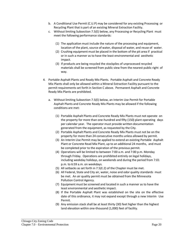- b. A Conditional Use Permit (C.U.P) may be considered for any existing Processing or Recycling Plant that is part of an existing Mineral Extraction Facility.
- c. Without limiting Subsection 7.5(E) below, any Processing or Recycling Plant must meet the following performance standards:
	- (1) The application must include the nature of the processing and equipment, location of the plant, source of water, disposal of water, and reuse of water.
	- (2) Crushing equipment must be placed in the bottom of the pit area if practical or in such a manner as to have the least environmental and aesthetic impact.
	- (3) If products are being recycled the stockpiles of unprocessed recycled materials shall be screened from public view from the nearest public right of way.
- 4. Portable Asphalt Plants and Ready Mix Plants. Portable Asphalt and Concrete Ready Mix Plants shall only be allowed within a Mineral Extraction Facility pursuant to the permit requirements set forth in Section C above. Permanent Asphalt and Concrete Ready Mix Plants are prohibited.
	- a. Without limiting Subsection 7.5(E) below, an Interim Use Permit for Portable Asphalt Plants and Concrete Ready Mix Plants may be allowed if the following conditions are met:
		- (1) Portable Asphalt Plants and Concrete Ready Mix Plants must not operate on the property for more than one-hundred and fifty (150) plant operating days per calendar year. The operator must provide written documentation generated from the equipment, as requested by the City.
		- (2) Portable Asphalt Plants and Concrete Ready Mix Plants must not be on the property for more than 24 consecutive months unless allowed by permit.
		- (3) An Interim Use Permit may be applied to extend an existing Portable Asphalt Plant or Concrete Read Mix Plant, up to an additional 24 months, and must be completed prior to the expiration of the previous permit.
		- (4) Operations will be limited to between 7:00 a.m. and 7:00 p.m. Monday through Friday. Operations are prohibited entirely on legal holidays, including weekday holidays, on weekends and during the period from 7:01 p.m. to 6:59 a.m. on weekdays.
		- (5) All setbacks as set forth in 7.5(E.2) of the Chapter must be met.
		- (6) All Federal, State and City air, water, noise and odor quality standards must be met. An air quality permit must be obtained from the Minnesota Pollution Control Agency.
		- (7) Equipment must be screened and located in such a manner as to have the least environmental and aesthetic impact.
		- (8) If the Portable Asphalt Plant was established on the site on the effective date of this ordinance, it may not expand except through a new Interim Use Permit.
		- (9) Any emission stack shall be at least thirty (30) feet higher than the highest land elevation within one-thousand (1,000) feet of facility.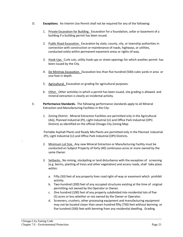- D. **Exceptions**. An Interim Use Permit shall not be required for any of the following:
	- 1. Private Excavation for Building. Excavation for a foundation, cellar or basement of a building if a building permit has been issued.
	- 2. Public Road Excavation. Excavation by state, county, city, or township authorities in connection with construction or maintenance of roads, highways, or utilities, conducted solely within permanent easement areas or rights-of-way.
	- 3. Hook-Ups. Curb cuts, utility hook-ups or street openings for which another permit has been issued by the City.
	- 4. De Minimas Excavation. Excavation less than five hundred (500) cubic yards in area or one foot in depth.
	- 5. Agricultural. Excavation or grading for agricultural purposes.
	- 6. Other. Other activities in which a permit has been issued, site grading is allowed and mineral extraction is clearly an incidental activity.
- E. **Performance Standards.** The following performance standards apply to all Mineral Extraction and Manufacturing Facilities in the City:
	- 1. Zoning District. Mineral Extraction Facilities are permitted only in the Agricultural (AG), Planned Industrial (PI), Light Industrial (LI) and Office Park Industrial (OPI) Districts as identified on the official Chisago City Zoning Map.

Portable Asphalt Plants and Ready Mix Plants are permitted only in the Planned Industrial (PI), Light Industrial (LI) and Office Park Industrial (OPI) Districts.

- 2. Minimum Lot Size. Any new Mineral Extraction or Manufacturing Facility must be conducted on Subject Property of forty (40) continuous acres or more owned by the same Owner.
- 3. Setbacks. No mining, stockpiling or land disturbance with the exception of screening (e.g. berms, planting of trees and other vegetation) and access roads, shall take place within:
	- a. Fifty (50) feet of any property lines road right-of-way or easement which prohibit activity.
	- b. Two-hundred (200) feet of any occupied structures existing at the time of original permitting not owned by the Operator or Owner.
	- c. One hundred (100) feet of any property subdivided into residential lots of five (5) acres or less whether or not owned by the Owner or Operator.
	- d. Screeners, crushers, other processing equipment and manufacturing equipment may not be located closer than seven hundred fifty (750) feet without berming or five hundred (500) feet with berming from any residential dwelling. Grading

.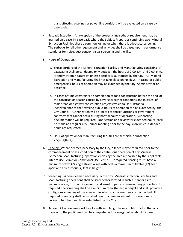plans affecting pipelines or power line corridors will be evaluated on a case by case basis.

4. Setback Exception. An exception of the property line setback requirement may be granted on a case-by-case basis where the Subject Properties continuing two Mineral Extraction Facilities share a common lot line or when there is adequate screening. The setbacks for all other equipment and activities shall be based upon performance standards for noise, dust control, visual screening and the like.

# 5. Hours of Operation.

- a. Those portions of the Mineral Extraction Facility and Manufacturing consisting of excavating shall be conducted only between the hours of 7:00 a.m. and 7:00 p.m., Monday through Saturday, unless specifically authorized by the City. All Mineral Extraction and Manufacturing shall not take place on holidays. In cases of public emergencies, hours of operation may be extended by the City Administrator or designee.
- b. In cases of time constraints on completion of road construction before the end of the construction season caused by adverse weather conditions and in cases of major road or highway construction projects which cause substantial inconvenience to the traveling public, hours of operation can be extended by the City Council. Authorization will be limited to those functions or government contracts that cannot occur during normal hours of operation. Supporting documentation will be required. Notification and review for extended hours shall be made at a regular City Council meeting prior to the day(s) on which extended hours are requested.
- c. Hour of operation for manufacturing facilities are set forth in subsection 7.5(C)(4)(a)(4).
- 6. Fencing. Where deemed necessary by the City, a fence maybe required prior to the commencement or as a condition to the continuous operation of any Mineral Extraction, Manufacturing, operation enclosing the area authorized by the applicable Interim Use Permit or Conditional Use Permit. . If required, fencing must have a minimum of two (2) single strand wires with posts a maximum of twelve (12) feet apart and at least four (4) feet in height.
- 7. Screening. Where deemed necessary by the City, Mineral Extraction Facilities and Manufacturing operations shall be screened or located in such a manner as to minimize noise, dust, odors, erosion and visual impacts on surrounding properties. If required, the screening shall be a minimum of six (6) feet in height and shall provide a contiguous screening of the area within which such operations are conducted. If required, screening shall be installed prior to commencement of operations or pursuant to other deadlines established by the City.
- 8. Access. All access roads will be of a sufficient length from a public road so that any turns onto the public road can be completed with a margin of safety. All access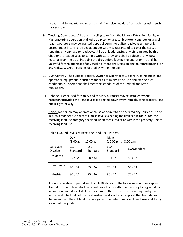roads shall be maintained so as to minimize noise and dust from vehicles using such access road.

- 9. Trucking Operations. All trucks traveling to or from the Mineral Extraction Facility or Manufacturing operation shall utilize a 9-ton or greater blacktop, concrete, or gravel road. Operators may be granted a special permit to utilize roadways temporarily posted under 9-tons, provided adequate surety is guaranteed to cover the costs of repairing any damage to roadways. All truck loads leaving any pit regulated by this Chapter are loaded so as to comply with state law and shall be clean of any loose material from the truck including the tires before leaving the operation. It shall be unlawful for the operator of any truck to intentionally use an engine retard braking on any highway, street, parking lot or alley within the City.
- 10. Dust Control. The Subject Property Owner or Operator must construct, maintain and operate all equipment in such a manner as to minimize on-site and off-site dust conditions. All operations shall meet the standards of the Federal and State regulations.
- 11. Lighting. Lights used forsafety and security purposes maybe installed where necessary provided the light source is directed down away from abutting property and public right-of-way.
- 12. Noise. No person may operate or cause or permit to be operated any source of noise in such a manner as to create a noise level exceeding the limit set in Table I for the receiving land use category specified when measured at or within the property line of receiving land use

| Table I. Sound Ecvels by Receiving Land Ose Districts. |                                  |                 |                                  |              |
|--------------------------------------------------------|----------------------------------|-----------------|----------------------------------|--------------|
|                                                        | Day<br>$(8:00 a.m. -10:00 p.m.)$ |                 | Night<br>(10:00 p.m.--8:00 a.m.) |              |
| Land Use<br><b>Districts</b>                           | L <sub>10</sub><br>Standard      | L50<br>Standard | L <sub>10</sub><br>Standard      | L50 Standard |
| Residential                                            | 65 dBA                           | 60 dBA          | 55 dBA                           | 50 dBA       |
| Commercial                                             | 70 dBA                           | 65 dBA          | 70 dBA                           | 65 dBA       |
| Industrial                                             | 80 dBA                           | 75 dBA          | 80 dBA                           | 75 dBA       |

Table I. Sound Levels by Receiving Land Use Districts.

For noise relative to period less than L-10 Standard, the following conditions apply: No indoor sound level shall be raised more than six dbc over existing background, and no outdoor sound level shall be raised more than ten dbc over existing background noise level. The limits of the most restrictive district shall apply at the boundaries between the different land use categories. The determination of land use shall be by its zoned designation.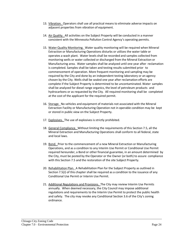- 13. Vibration. Operators shall use all practical meansto eliminate adverse impacts on adjacent properties from vibration of equipment.
- 14. Air Quality. All activities on the Subject Property will be conducted in a manner consistent with the Minnesota Pollution Control Agency's operating permits.
- 15. Water Quality Monitoring. Water quality monitoring will be required when Mineral Extraction or Manufacturing Operations disturbs or utilizes the water table or operates a wash plant. Water levels shall be recorded and samples collected from monitoring wells or water collected or discharged from the Mineral Extraction or Manufacturing area. Water samples shall be analyzed until one year after reclamation is completed. Samples shall be taken and testing results submitted prior to commencement of operation. More frequent monitoring and sampling may be required by the City and done by an independent testing laboratory or an agency chosen by the City. Wells shall be sealed one year after reclamation efforts are complete if the Subject Property is determined to be uncontaminated. Water samples shall be analyzed for diesel range organics, the level of petroleum products and hydrocarbons or as requested by the City. All required monitoring shall be completed at the cost of the applicant for the required permit.
- 16. Storage. No vehicles and equipment of materials not associated with the Mineral Extraction Facility or Manufacturing Operation not in operable condition may be kept or stored in public view on the Subject Property.
- 17. Explosives. The use of explosives is strictly prohibited.
- 18. General Compliance. Without limiting the requirements of this Section 7.5, all the Mineral Extraction and Manufacturing Operations shall conform to all federal, state and local laws.
- 19. Bond. Prior to the commencement of a new Mineral Extraction or Manufacturing Operations, and as a condition to any Interim Use Permit or Conditional Use Permit required hereunder, a Bond or other financial guarantee, in an amount determined by the City, must be posted by the Operator or the Owner (or both) to assure compliance with this Section 7.5 and the restoration of the site Subject Property.
- 20. Rehabilitation Plan. A Rehabilitation Plan for the Subject Property as outlined in Section 7.5(J) of this chapter shall be required as a condition to the issuance of any Conditional Use Permit or Interim Use Permit.
- 21. Additional Regulations and Provisions. The City may review Interim Use Permits annually. When deemed necessary, the City Council may impose additional regulations and requirements to the Interim Use Permit to protect the public health and safety. The city may revoke any Conditional Section 3.6 of the City's zoning ordinance.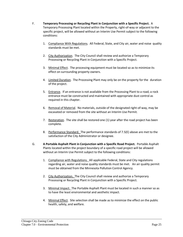- F. **Temporary Processing or Recycling Plant in Conjunction with a Specific Project.** A Temporary Processing Plant located within the Property, right-of-way or adjacent to the specific project, will be allowed without an Interim Use Permit subject to the following conditions:
	- 1. Compliance With Regulations. All Federal, State, and City air, water and noise quality standards must be met.
	- 2. City Authorization. The City Council shall review and authorize a Temporary Processing or Recycling Plant in Conjunction with a Specific Project.
	- 3. Minimal Effect. The processing equipment must be located so as to minimize its effect on surrounding property owners.
	- 4. Limited Duration. The Processing Plant may only be on the property for the duration of the project.
	- 5. Entrance. If an entrance is not available from the Processing Plant to a road, a rock entrance must be constructed and maintained with appropriate dust control as required in this chapter.
	- 6. Removal of Material. No materials, outside of the designated right-of-way, may be excavated or removed from the site without an Interim Use Permit.
	- 7. Restoration. The site shall be restored one (1) year after the road project has been complete.
	- 8. Performance Standard. The performance standards of 7.5(E) above are met to the satisfaction of the City Administrator or designee.
- G. **A Portable Asphalt Plant in Conjunction with a Specific Road Project.** Portable Asphalt Plants located within the project boundary of a specific road project will be allowed without an Interim Use Permit subject to the following conditions:
	- 1. Compliance with Regulations. All applicable Federal, State and City regulations regarding air, water and noise quality standards must be met. An air quality permit must be obtained from the Minnesota Pollution Control Agency.
	- 2. City Authorization. The City Council shall review and authorize a Temporary Processing or Recycling Plant in Conjunction with a Specific Project.
	- 3. Minimal Impact. The Portable Asphalt Plant must be located in such a manner so as to have the least environmental and aesthetic impact.
	- 4. Minimal Effect. Site selection shall be made as to minimize the effect on the public health, safety, and welfare.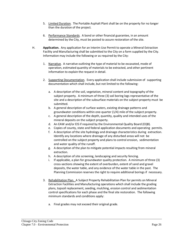- 5. Limited Duration. The Portable Asphalt Plant shall be on the property for no longer than the duration of the project.
- 6. Performance Standards. A bond or other financial guarantee, in an amount determined by the City, must be posted to assure restoration of the site.
- H. **Application.** Any application for an Interim Use Permit to operate a Mineral Extraction Facility and Manufacturing shall be submitted to the City on a form supplied by the City. Information may include the following or as required by the City:
	- 1. Narrative. A narrative outlining the type of material to be excavated, mode of operation, estimated quantity of materials to be extracted, and other pertinent information to explain the request in detail.
	- 2. Supporting Documentation. Every application shall include submission of supporting documentation which shall include, but not limited to the following:
		- a. A description of the soil, vegetation, mineral content and topography of the subject property. A minimum of three (3) soil boring logs representative of the site and a description of the subsurface materials on the subject property must be submitted.
		- b. A general description of surface waters, existing drainage patterns and groundwater conditions within one-quarter (1/4) mile of the subject property.
		- c. A general description of the depth, quantity, quality and intended uses of the mineral deposits on the subject property.
		- d. An EAW and/or EIS if required by the Environmental Quality Board (EQB).
		- e. Copies of county, state and federal application documents and operating permits.
		- f. A description of the site hydrology and drainage characteristics during extraction. Identify any locations where drainage of any disturbed areas will not be controlled on the subject property and plans to control erosion, sedimentation and water quality of the runoff.
		- g. A description of the plan to mitigate potential impacts resulting from mineral extraction.
		- h. A description of site screening, landscaping and security fencing.
		- i. If applicable, a plan for groundwater quality protection. A minimum of three (3) cross-sections showing the extent of overburden, extent of sand and gravel deposits, the water table, and any evidence of the water table in the past. The Planning Commission reserves the right to require additional borings if necessary.
	- 3. Rehabilitation Plan. A Subject Property Rehabilitation Plan for permits on Mineral Extraction Facilities and Manufacturing operations which shall include the grading plans, topsoil replacement, seeding, mulching, erosion control and sedimentation control specifications for each phase and the final site restoration. The following minimum standards and conditions apply:
		- a. Final grades may not exceed their original grade.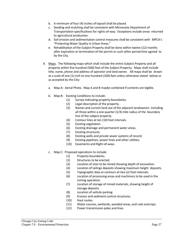- b. A minimum of four (4) inches of topsoil shall be placed.
- c. Seeding and mulching shall be consistent with Minnesota Department of Transportation specifications for rights-of-way. Exceptions include areas returned to agricultural production.
- d. Soil erosion and sedimentation control measures shall be consistent with MPCA's "Protecting Water Quality in Urban Areas."
- e. Rehabilitation of the Subject Property shall be done within twelve (12) months after expiration or termination of the permit or such other period time agreed to by the City.
- 4. Maps. The following maps which shall include the entire Subject Property and all property within five hundred (500) feet of the Subject Property. Maps shall include title, name, phone and address of operator and land owner. All maps shall be drawn at a scale of one (1) inch to one-hundred (100) feet unless otherwise stated below or as accepted by the City:
	- a. Map A: Aerial Photo. Map A and B maybe combined if contents are legible.
	- b. Map B: Existing Conditions to include:
		- (1) Survey indicating property boundaries.
		- (2) Legal description of the property.
		- (3) Names and current land use of the adjacent landowners including all those within a one-quarter (1/4) mile radius of the boundary line of the subject property.
		- (4) Contour lines at ten (10) foot intervals.
		- (5) Existing vegetation.
		- (6) Existing drainage and permanent water areas.
		- (7) Existing structures.
		- (8) Existing wells and private sewer systems of record.
		- (9) Existing pipelines, power lines and other utilities.
		- (10) Easements and Right-of-ways.
	- c. Map C: Proposed operations to include:
		- (1) Property boundaries.
		- (2) Structures to be erected.
		- (3) Location of sites to be mined showing depth of excavation.
		- (4) Location of tailings deposits showing maximum height deposits.
		- (5) Topographic data at contours at two (2) foot intervals.
		- (6) Location of processing areas and machinery to be used in the mining operation.
		- (7) Location of storage of mined materials, showing height of storage deposits.
		- (8) Location of vehicle parking.
		- (9) Erosion and sediment control structures.
		- (10) Haul routes.
		- (11) Water courses, wetlands, wooded areas, and rock outcrops.
		- (12) Power transmission poles and lines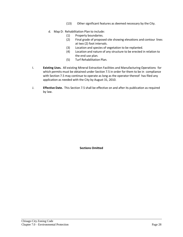- (13) Other significant features as deemed necessary by the City.
- d. Map D: Rehabilitation Plan to include:
	- (1) Property boundaries.
	- (2) Final grade of proposed site showing elevations and contour lines at two (2) foot intervals.
	- (3) Location and species of vegetation to be replanted.
	- (4) Location and nature of any structure to be erected in relation to the end use plan.
	- (5) Turf Rehabilitation Plan.
- I. **Existing Uses.** All existing Mineral Extraction Facilities and Manufacturing Operations for which permits must be obtained under Section 7.5 in order for them to be in compliance with Section 7.5 may continue to operate as long as the operator thereof has filed any application as needed with the City by August 31, 2010.
- J. **Effective Date.** This Section 7.5 shall be effective on and after its publication as required by law.

**Sections Omitted**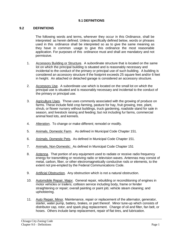# **9.1 DEFINITIONS**

# **9.2 DEFINITIONS**

The following words and terms, wherever they occur in this Ordinance, shall be interpreted as herein defined. Unless specifically defined below, words or phrases used in this ordinance shall be interpreted so as to give the same meaning as they have in common usage to give this ordinance the most reasonable application. For purposes of this ordinance must and shall are mandatory and not permissive.

- 1. Accessory Building or Structure. A subordinate structure that is located on the same lot on which the principal building is situated and is reasonably necessary and incidental to the conduct of the primary or principal use of such building. A building is considered an accessory structure if the footprint exceeds 25 square feet and/or 6 feet in height. An attached or detached garage is considered an accessory structure.
- 2. Accessory Use. A subordinate use which is located on the small lot on which the principal use is situated and is reasonably necessary and incidental to the conduct of the primary or principal use.
- 3. Agriculture Uses. Those uses commonly associated with the growing of produce on farms. These include field crop farming, pasture for hay, fruit growing, tree, plant, shrub, or flower nursery without buildings, truck gardening, roadside stand for sale in season, and livestock raising and feeding; but not including fur farms, commercial animal feed lots, and kennels.
- 4. Alteration. To change or make different; remodel or modify.
- 5. Animals, Domestic Farm. As defined in Municipal Code Chapter 151.
- 6. Animals, Domestic Pets. As defined in Municipal Code Chapter 151.
- 7. Animals, Non-Domestic: As defined in Municipal Code Chapter 151
- 8. Antenna. That portion of any equipment used to radiate or receive radio frequency energy for transmitting or receiving radio or television waves. Antennas may consist of metal, carbon, fiber, or other electromagnetically conductive rods or elements, to the extent not pre-empted by the Federal Communications Code.
- 9. Artificial Obstruction. Any obstruction which is not a natural obstruction.
- 10. Automobile Repair, Major. General repair, rebuilding or reconditioning of engines in motor vehicles or trailers; collision service including body, frame or fender straightening or repair; overall painting or paint job; vehicle steam cleaning; and upholstering.
- 11. Auto Repair, Minor. Maintenance, repair or replacement of the alternator, generator, starter, water pump, battery, brakes, or part thereof. Minor tune-up which consists of distributor cap, rotor, and spark plug replacement. Change of oil and filter, fan belt, or hoses. Others include lamp replacement, repair of flat tires, and lubrication.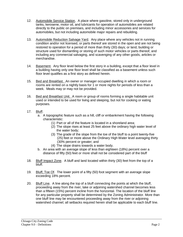- 12. Automobile Service Station. A place where gasoline, stored only in underground tanks, kerosene, motor oil, and lubricants for operation of automobiles are related directly to the public on premises, and including minor accessories and services for automobiles, but not including automobile major repairs and rebuilding.
- 13. Automobile Reduction Salvage Yard. Any place where any vehicles not in running condition and/or not licensed, or parts thereof are stored in the open and are not being restored to operation for a period of more than thirty (30) days; or land, building or structure used for dismantling or storing of such motor vehicles or parts thereof, and including any commercial salvaging, and scavenging of any other goods, articles or merchandise.
- 14. Basement. Any floor level below the first story in a building, except that a floor level in a building having only one floor level shall be classified as a basement unless such floor level qualifies as a first story as defined herein.
- 15. Bed and Breakfast. An owner or manager occupied dwelling in which a room or rooms are rented on a nightly basis for 1 or more nights for periods of less than a week. Meals may or may not be provided.
- 16. Bed and Breakfast Unit. A room or group of rooms forming a single habitable unit used or intended to be used for living and sleeping, but not for cooking or eating purposes.
- 17. Bluff.
	- a. A topographic feature such as a hill, cliff or embankment having the following characteristic:
		- (1) Part or all of the feature is located in a shoreland area;
		- (2) The slope rises at least 25 feet above the ordinary high water level of the water body;
		- (3) The grade of the slope from the toe of the bluff to a point twenty-five (25) feet or more above the Ordinary High Water level averaging thirty (30% percent or greater; and
		- (4) The slope drains towards a water body.
	- b. An area with an average slope of less than eighteen (18%) percent over a distance of fifty (50) feet or more shall not be considered part of the bluff
- 18. Bluff Impact Zone. A bluff and land located within thirty (30) feet from the top of a bluff.
- 19. Bluff, Toe Of. The lower point of a fifty (50) foot segment with an average slope exceeding 18% percent.
- 20. Bluff Line. A line along the top of a bluff connecting the points at which the bluff, proceeding away from the river, lake or adjoining watershed channel becomes less than a fifteen (15%) percent incline from the horizontal. The location of the bluff line for any particular property shall be determined by the Zoning Administrator. More than one bluff line may be encountered proceeding away from the river or adjoining watershed channel; all setbacks required herein shall be applicable to each bluff line.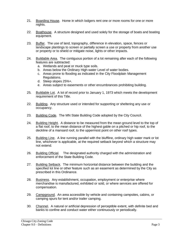- 21. Boarding House. Home in which lodgers rent one or more rooms for one or more nights.
- 22. Boathouse. A structure designed and used solely for the storage of boats and boating equipment.
- 23. Buffer. The use of land, topography, difference in elevation, space, fences or landscape plantings to screen or partially screen a use or property from another use or property or to shield or mitigate noise, lights or other impacts.
- 24. Buildable Area. The contiguous portion of a lot remaining after each of the following features are subtracted:
	- a. Wetlands and peat or muck type soils.
	- b. Areas below the Ordinary High-water Level of water bodies.
	- c. Areas prone to flooding as indicated in the City Floodplain Management Regulations.
	- d. Steep slopes 25%+.
	- e. Areas subject to easements or other encumbrances prohibiting building.
- 25. Buildable Lot. A lot of record prior to January 1, 1973 which meets the development requirement of this Title.
- 22. Building. Any structure used or intended for supporting or sheltering any use or occupancy.
- 23. Building Code. The MN State Building Code adopted by the City Council.
- 24. Building Height. A distance to be measured from the mean ground level to the top of a flat roof, to the mean distance of the highest gable on a pitched or hip roof, to the deckline of a mansard roof, to the uppermost point on other roof types.
- 25. Building Line. A line running parallel with the bluffline, ordinary high water mark or lot line, whichever is applicable, at the required setback beyond which a structure may not extend.
- 26. Building Official. The designated authority charged with the administration and enforcement of the State Building Code.
- 27. Building Setback. The minimum horizontal distance between the building and the specified lot line or other feature such as an easement as determined by the City as prescribed in this Ordinance.
- 28. Business. Any establishment, occupation, employment or enterprise where merchandise is manufactured, exhibited or sold, or where services are offered for compensation.
- 29. Campground. An area accessible by vehicle and containing campsites, cabins, or camping spurs for tent and/or trailer camping.
- 30. Channel. A natural or artificial depression of perceptible extent, with definite bed and banks to confine and conduct water either continuously or periodically.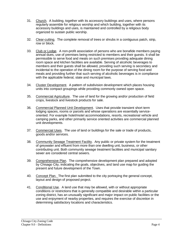- 31. Church. A building, together with its accessory buildings and uses, where persons regularly assemble for religious worship and which building, together with its accessory buildings and uses, is maintained and controlled by a religious body organized to sustain public worship.
- 32. Clear-cutting. The complete removal of trees or shrubs in a contiguous patch, strip, row or block.
- 33. Club or Lodge. A non-profit association of persons who are bonafide members paying annual dues, use of premises being restricted to members and their guests. It shall be permissible to serve food and meals on such premises providing adequate dining room space and kitchen facilities are available. Serving of alcoholic beverages to members and their guests shall be allowed, providing such serving is secondary and incidental to the operation of the dining room for the purpose of serving food and meals and providing further that such serving of alcoholic beverages is in compliance with the applicable federal, state and municipal laws.
- 34. Cluster Development. A pattern of subdivision development which places housing units into compact groupings while providing commonly owned open space.
- 35. Commercial Agriculture. The use of land for the growing and/or production of field crops, livestock and livestock products for sale.
- 36. Commercial Planned Unit Development. Uses that provide transient short term lodging spaces, rooms or parcels and whose operations are essentially serviceoriented. For example hotel/motel accommodations, resorts, recreational vehicle and camping parks, and other primarily service oriented activities are commercial planned unit developments.
- 37. Commercial Uses. The use of land or buildings for the sale or trade of products, goods and/or services.
- 38. Community Sewage Treatment Facility. Any public or private system for the treatment of greywater and effluent from more than one dwelling unit, business, or other contributing unit. Both community sewage treatment facilities and municipal sanitary sewer are considered central sewers.
- 39. Comprehensive Plan. The comprehensive development plan prepared and adopted by Chisago City, indicating the goals, objectives, and land use map for guiding the present and future development of the Town.
- 40. Concept Plan. The first plan submitted to the city portraying the general concept, layout and design of proposed project.
- 41. Conditional Use. A land use that may be allowed, with or without appropriate conditions or restrictions that is generally compatible and desirable within a particular zoning district, has an unusually significant and major impact on public facilities or the use and enjoyment of nearby properties, and requires the exercise of discretion in determining satisfactory locations and characteristics.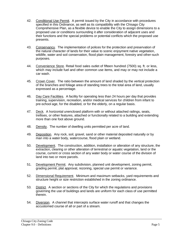- 42. Conditional Use Permit. A permit issued by the City in accordance with procedures specified in this Ordinance, as well as its compatibility with the Chisago City Comprehensive Plan, as a flexible device to enable the City to assign dimensions to a proposed use or conditions surrounding it after consideration of adjacent uses and their functions and the special problems or potential conflicts which the proposed use presents.
- 43. Conservancy. The implementation of polices for the protection and preservation of the natural character of lands for their value to scenic enjoyment native vegetation, wildlife, water and soil conservation, flood plain management, forestry and other-such purposes.
- 44. Convenience Store. Retail food sales outlet of fifteen hundred (7500) sq. ft. or less, which may include fuel and other common use items, and may or may not include a car wash.
- 45. Crown Cover. The ratio between the amount of land shaded by the vertical protection of the branches and foliage area of standing trees to the total area of land, usually expressed as a percentage.
- 46. Day Care Facilities. A facility for operating less than 24 hours per day that provides training, supervision, recreation, and/or medical services for children from infant to pre-school age, for the disabled, or for the elderly, on a regular basis.
- 47. Deck. A horizontal unenclosed platform with or without attached railings, seats, trellises, or other features, attached or functionally related to a building and extending more than one foot above ground.
- 48. Density. The number of dwelling units permitted per acre of land.
- 49. Deposition. Any rock, soil, gravel, sand or other material deposited naturally or by man into a water body, watercourse, flood plain or wetland.
- 50. Development. The construction, addition, installation or alteration of any structure, the extraction, clearing or other alteration of terrestrial or aquatic vegetation, land or the course, current or cross section of any water body or water course of the division of land into two or more parcels.
- 51. Development Permit. Any subdivision, planned unit development, zoning permit, grading permit, plat approval, rezoning, special use permit or variance.
- 52. Dimensional Requirement. Minimum and maximum setbacks, yard requirements and structure height or size restriction established in the zoning ordinance.
- 53. District. A section or sections of the City for which the regulations and provisions governing the use of buildings and lands are uniform for each class of use permitted therein.
- 54. Diversion. A channel that intercepts surface water runoff and that changes the accustomed course of all or part of a stream.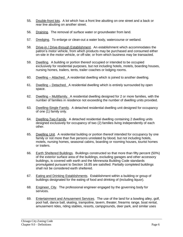- 55. Double-front lots. A lot which has a front line abutting on one street and a back or rear line abutting on another street.
- 56. Draining. The removal of surface water or groundwater from land.
- 57. Dredging. To enlarge or clean-out a water body, watercourse or wetland.
- 58. Drive-in / Drive-through Establishment. An establishment which accommodates the patron's motor vehicle, from which products may be purchased and consumed either on-site in the motor vehicle, or off-site; or from which business may be transacted.
- 59. Dwelling. A building or portion thereof occupied or intended to be occupied exclusively for residential purposes, but not including hotels, motels, boarding houses, nursing homes, trailers, tents, trailer coaches or lodging rooms.
- 60. Dwelling Attached. A residential dwelling which is joined to another dwelling.
- 61. Dwelling Detached. A residential dwelling which is entirely surrounded by open space.
- 62. Dwelling Multifamily. A residential dwelling designed for 2 or more families, with the number of families in residence not exceeding the number of dwelling units provided.
- 63. Dwelling-Single Family. A detached residential dwelling unit designed for occupancy of one (1) family only.
- 64. Dwelling-Two-Family. A detached residential dwelling containing 2 dwelling units designed exclusively for occupancy of two (2) families living independently of each other.
- 65. Dwelling Unit. A residential building or portion thereof intended for occupancy by one family or not more than five persons unrelated by blood, but not including hotels, motels, nursing homes, seasonal cabins, boarding or rooming houses, tourist homes or trailers.
- 66. Earth Sheltered Buildings. Buildings constructed so that more than fifty percent (50%) of the exterior surface area of the buildings, excluding garages and other accessory buildings, is covered with earth and the Minnesota Building Code standards promulgated pursuant to Section 16.85 are satisfied. Partially completed buildings shall not be considered earth sheltered.
- 67. Eating and Drinking Establishments. Establishment within a building or group of buildings designated for the eating of food and drinking of (including liquor).
- 68. Engineer, City. The professional engineer engaged by the governing body for services.
- 69. Entertainment and Amusement Services. The use of the land for a bowling alley, golf, pool hall, dance ball, skating, trampoline, tavern, theater, firearms range, boat rental, amusement rides, riding stables, resorts, campgrounds, deer park, and similar uses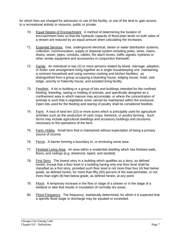for which fees are charged for admission or use of the facility, or use of the land to gain access to a recreational activity or resource, public or private.

- 70. Equal Degree of Encroachment. A method of determining the location of encroachment lines so that the hydraulic capacity of flood plain lands on both sides of a stream are reduced by an equal amount when calculating the increases.
- 71. Essential Services. Gas, underground electrical, steam or water distribution systems, collection, communication, supply or disposal system including poles, wires, mains, drains, sewer, pipes, conduits, cables, fire alarm boxes, traffic signals, hydrants or other similar equipment and accessories in conjunction therewith.
- 72. Family. An individual or two (2) or more persons related by blood, marriage, adoption, or foster care arrangement living together as a single housekeeping unit maintaining a common household and using common cooking and kitchen facilities; as distinguished from a group occupying a boarding house, lodging house, hotel, club lodge, sorority or fraternity house, and assisted living facility
- 73. Feedlots. A lot or building or a group of lots and buildings intended for the confined feeding, breeding, raising or holding of animals, and specifically designed as a confinement area in which manure may accumulate, or where the concentration of animals is such that a vegetative cover cannot be maintained within the enclosure. Open lots used for the feeding and rearing of poultry shall be considered feedlots.
- 74. Farm. A tract of land ten (10) or more acres which is principally used for agriculture activities such as the production of cash crops, livestock, or poultry farming. Such farms may include agricultural dwellings and accessory buildings and structures necessary to the operations of the farm.
- 75. Farm, Hobby. Small farm that is maintained without expectation of being a primary source of income.
- 76. Fence. A barrier forming a boundary to, or enclosing some area.
- 77. Finished Living Area. An area within a residential dwelling which has finished walls, floors, and ceilings (e.g. sheetrock, taped, and sanded).
- 78. First Story. The lowest story in a building which qualifies as a story, as defined herein, except that a floor level in a building having only one floor level shall be classified as a first story, provided such floor level is not more than four (4) feet below grade, as defined herein, for more than fifty (50) percent of the total perimeter, or not more than eight (8) feet below grade, as defined herein, at any point.
- 79. Flood. A temporary increase in the flow or stage of a stream or in the stage of a wetland or lake that results in inundation of normally dry areas.
- 80. Flood Frequency. The frequency, statistically determined, for which it is expected that a specific flood stage or discharge may be equaled or exceeded.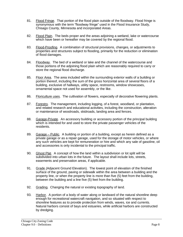- 81. Flood Fringe. That portion of the flood plain outside of the floodway. Flood fringe is synonymous with the term "floodway fringe" used in the Flood Insurance Study, Chisago County, Minnesota and incorporated Areas.
- 82. Flood Plain. The beds proper and the areas adjoining a wetland, lake or watercourse which have been or hereafter may be covered by the regional flood.
- 83. Flood-Proofing. A combination of structural provisions, changes, or adjustments to properties and structures subject to flooding, primarily for the reduction or elimination of flood damages.
- 84. Floodway. The bed of a wetland or lake and the channel of the watercourse and those portions of the adjoining flood plain which are reasonably required to carry or store the regional flood discharge.
- 85. Floor Area. The area included within the surrounding exterior walls of a building or portion thereof, including the sum of the gross horizontal area of several floors of a building, exclusive of hallways, utility space, restrooms, window showcases, ornamental space not used for assembly, or the like.
- 86. Floriculture uses. The cultivation of flowers, especially of decorative flowering plants.
- 87. Forestry. The management, including logging, of a forest, woodland, or plantation, and related research and educational activities, including the construction, alteration or maintenance of woodroads, skidroads, landing area and fences.
- 88. Garage-Private. An accessory building or accessory portion of the principal building which is intended for and used to store the private passenger vehicles of the residents.
- 89. Garage Public. A building or portion of a building, except as herein defined as a private garage or as a repair garage, used for the storage of motor vehicles, or where any such vehicles are kept for remuneration or hire and which any sale of gasoline, oil and accessories is only incidental to the principal traffic.
- 90. Ghost Plat. A concept of how the land within a subdivision or lot split will be subdivided into urban lots in the future. The layout shall include lots, streets, easements and preservation areas, if applicable.
- 91. Grade (Adjacent Ground Elevation). The lowest point of elevation of the finished surface of the ground, paving or sidewalk within the area between a building and the property line, or when the property line is more than five (5) feet from the building, between the building and a line five (5) feet from the building.
- 92. Grading. Changing the natural or existing topography of land.
- 93. Harbor. A portion of a body of water along or landward of the natural shoreline deep enough for recreational watercraft navigation, and so situated with respect to shoreline features as to provide protection from winds, waves, ice and currents. Natural harbors consist of bays and estuaries, while artificial harbors are constructed by dredging.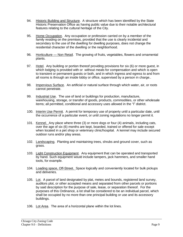- 94. Historic Building and Structure. A structure which has been identified by the State Historic Preservation Office as having public value due to their notable architectural features relating to the cultural heritage of the City.
- 95. Home Occupation. Any occupation or profession carried on by a member of the family residing on the premises, provided that the use is clearly incidental and secondary to the use of the dwelling for dwelling purposes, does not change the residential character of the dwelling or the neighborhood.
- 96. Horticulture Non Retail. The growing of fruits, vegetables, flowers and ornamental plants.
- 97. Hotel. Any building or portion thereof providing provisions for six (6) or more guest, in which lodging is provided with or without meals for compensation and which is open to transient or permanent guests or both, and in which ingress and egress to and from all rooms is through an inside lobby or office, supervised by a person in charge..
- 98. Impervious Surface. An artificial or natural surface through which water, air, or roots cannot penetrate.
- 99. Industrial Use. The use of land or buildings for production, manufacture, warehousing, storage, or transfer of goods, products, commodities, or other wholesale items; all permitted, conditional and accessory uses allowed in the "I" district.
- 100. Interim Use Permit. A permit for temporary use of property until a particular date, until the occurrence of a particular event, or until zoning regulations no longer permit it.
- 101. Kennel. Any place where three (3) or more dogs or four (4) animals, including cats, over the age of six (6) months are kept, boarded, trained or offered for sale except when located in a pet shop or veterinary clinic/hospital. A kennel may include secured outdoor runs and/or play areas.
- 102. Landscaping. Planting and maintaining trees, shrubs and ground cover, such as grass.
- 103. Light Construction Equipment. Any equipment that can be operated and transported by hand. Such equipment would include tampers, jack hammers, and smaller hand tools, for example.
- 104. Loading space, Off-Street. Space logically and conveniently located for bulk pickups and deliveries.
- 105. Lot. A parcel of land designated by plat, metes and bounds, registered land survey, auditors plot, or other accepted means and separated from other parcels or portions by said description for the purpose of sale, lease, or separation thereof. For the purposes of this Ordinance, a lot shall be considered to be an individual parcel, which shall be occupied by no more than one principal building or use and its accessory buildings.
- 106. Lot Area. The area of a horizontal plane within the lot lines.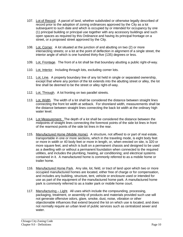- 107. Lot of Record. A parcel of land, whether subdivided or otherwise legally described of record prior to the adoption of zoning ordinances approved by the City as a lot subsequent to such date and which is occupied by or intended for occupancy by one (1) principal building or principal use together with any accessory buildings and such open spaces as required by this Ordinance and having its principal frontage on a street, or a proposed street approved by the City.
- 108. Lot, Corner. A lot situated at the junction of and abutting on two (2) or more intersecting streets; or a lot at the point of deflection in alignment of a single street, the interior angle of which is one hundred thirty-five (135) degrees or less.
- 109. Lot, Frontage. The front of a lot shall be that boundary abutting a public right-of-way.
- 110. Lot, Interior. Including through lots, excluding corner lots.
- 111. Lot, Line. A property boundary line of any lot held in single or separated ownership, except that where any portion of the lot extends into the abutting street or alley, the lot line shall be deemed to be the street or alley right-of-way.
- 112. Lot, Through. A lot fronting on two parallel streets.
- 113. Lot, Width. The width of a lot shall be considered the distance between straight lines connecting the front lot width at setback. For shoreland width, measurements shall be the distance between straight lines connecting the back lot width at the ordinary high water level.
- 114. Lot Measurement. The depth of a lot shall be considered the distance between the midpoints of straight lines connecting the foremost points of the side lot lines in front of the rearmost points of the side lot lines in the rear.
- 115. Manufactured Home (Mobile Home). A structure, not affixed to or part of real estate, transportable in one or more sections, which in the traveling mode, is eight body feet or more in width or 40 body feet or more in length, or, when erected on site, is 320 or more square feet, and which is built on a permanent chassis and designed to be used as a dwelling with or without a permanent foundation when connected to the required utilities, and includes the plumbing, heating, air conditioning; and electrical systems contained in it. A manufactured home is commonly referred to as a mobile home or trailer home.
- 116. Manufactured Home Park. Any site, lot, field, or tract of land upon which two or more occupied manufactured homes are located, either free of charge or for compensation, and includes any building, structure, tent, vehicle or enclosure used or intended for use as part of the equipment of the manufactured home park. A manufactured home park is commonly referred to as a trailer park or mobile home court.
- 117. Manufacturing Light. All uses which include the compounding, processing, packaging, treatment, or assembly of products and materials provided such use will not generate offensive odors, glare, smoke, dust, noise, vibration or other objectionable influences that extend beyond the lot on which use is located, and does not normally require an urban level of public services such as centralized sewer and water.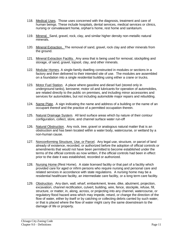- 118. Medical Uses. Those uses concerned with the diagnosis, treatment and care of human beings. These include hospitals, dental services, medical services or clinics, nursing or convalescent home, orphan's home, rest home and sanitarium.
- 119. Mineral. Sand, gravel, rock, clay, and similar higher density non-metallic natural minerals.
- 120. Mineral Extraction. The removal of sand, gravel, rock clay and other minerals from the ground.
- 121. Mineral Extraction Facility. Any area that is being used for removal, stockpiling and storage, of sand, gravel, topsoil, clay, and other minerals.
- 122. Modular Homes. A single-family dwelling constructed in modules or sections in a factory and then delivered to their intended site of use. The modules are assembled on a foundation into a single residential building using either a crane or trucks.
- 123. Motor Fuel Station. A place where gasoline and diesel fuel (stored only in underground tanks), kerosene; motor oil and lubricants for operation of automobiles, are related directly to the public on premises, and including minor accessories and services for automobiles, but not including automobile major repairs and rebuilding.
- 124. Name Plate. A sign indicating the name and address of a building or the name of an occupant thereof and the practice of a permitted occupation therein.
- 125. Natural Drainage System. All land surface areas which by nature of their contour configuration, collect, store, and channel surface water run-off
- 126. Natural Obstruction. Any rock, tree, gravel or analogous natural matter that is an obstruction and has been located within a water body, watercourse, or wetland by a non-human cause.
- 127. Nonconforming Structure, Use, or Parcel. Any legal use, structure, or parcel of land already of existence, recorded, or authorized before the adoption of official controls or amendments that would not have been permitted to become established under the terms of the official controls as now written, if the official controls had been in effect prior to the date it was established, recorded or authorized.
- 128. Nursing Home (Rest Home). A state licensed facility or that part of a facility which provided care for aged or infirm persons who require nursing and personal care and related services in accordance with state regulations. A nursing home may be a residential healthcare facility, an intermediate care facility, or a long term care facility.
- 129. Obstruction. Any dam, wall, wharf, embankment, levee, dike, abutment, projection, excavation, channel rectification, culvert, building, wire, fence, stockpile, refuse, fill, structure, or matter, in, along, across, or projecting into any channel, watercourse, or regulatory flood hazard area which may impede, retard, or change the direction of the flow of water, either by itself or by catching or collecting debris carried by such water, or that is placed where the flow of water might carry the same downstream to the damage of life or property.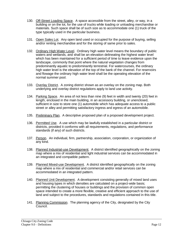- 130. Off-Street Loading Space. A space accessible from the street, alley, or way, in a building or on the lot, for the use of trucks while loading or unloading merchandise or materials. Such space shall be of such size as to accommodate one (1) truck of the type typically used in the particular business.
- 131. Open Sales Lot. Any open land used or occupied for the purpose of buying, selling and/or renting merchandise and for the storing of same prior to sales.
- 132. Ordinary High Water Level. Ordinary high water level means the boundary of public waters and wetlands, and shall be an elevation delineating the highest water level which has been maintained for a sufficient period of time to leave evidence upon the landscape, commonly that point where the natural vegetation changes from predominantly aquatic to predominantly terrestrial. For watercourses, the ordinary high water level is the elevation of the top of the bank of the channel. For reservoirs and flowage the ordinary high water level shall be the operating elevation of the normal summer pool.
- 133. Overlay District. A zoning district shown as an overlay on the zoning map. Both underlying and overlay district regulations apply to land use activity.
- 134. Parking Space. An area of not less than nine (9) feet in width and twenty (20) feet in length, enclosed in the main building, in an accessory building, or unenclosed, sufficient in size to store one (1) automobile which has adequate access to a public street or alley and permitting satisfactory ingress and egress of an automobile.
- 135. Preliminary Plan. A descriptive proposed plan of a proposed development project.
- 136. Permitted Use. A use which may be lawfully established in a particular district or districts, provided it conforms with all requirements, regulations, and performance standards (if any) of such districts.
- 137. Person. An individual, firm, partnership, association, corporation, or organization of any kind.
- 138. Planned Industrial-use Development. A district identified geographically on the zoning map where a mix of residential and light industrial services can be accommodated in an integrated and compatible pattern.
- 139. Planned Mixed-use Development. A district identified geographically on the zoning map where a mix of residential and commercial and/or retail services can be accommodated in an integrated pattern.
- 140. Planned Unit Development. A development consisting generally of mixed land uses and housing types in which densities are calculated on a project-wide basis; permitting the clustering of houses or buildings and the provision of common open space intended to create a more flexible, creative and efficient approach to the use of land and subject to the procedures, standards and regulations contained in this title.
- 141. Planning Commission. The planning agency of the City, designated by the City Council.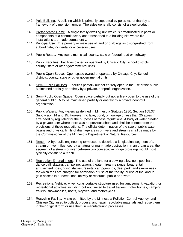- 142. Pole Building. A building which is primarily supported by poles rather than by a framework of dimension lumber. The sides generally consist of a steel product.
- 143. Prefabricated Home. A single family dwelling unit which is prefabricated in parts or components at a central factory and transported to a building site where file installations are made permanently.
- 144. Principal Use. The primary or main use of land or buildings as distinguished from subordinate, incidental or accessory uses.
- 145. Public Roads. Any town, municipal, county, state or federal road or highway.
- 146. Public Facilities. Facilities owned or operated by Chisago City, school districts, county, state or other governmental units.
- 147. Public Open Space. Open space owned or operated by Chisago City, School districts, county, state or other governmental units.
- 148. Semi-Public Facilities. Facilities partially but not entirely open to the use of the public. Maintained partially or entirely by a private, nonprofit organization.
- 149. Semi-Public Open Space. Open space partially but not entirely open to the use of the general public. May be maintained partially or entirely by a private nonprofit organization.
- 150. Public Waters. Any waters as defined in Minnesota Statutes 1980, Section 105.37, Subdivision 14 and 15. However, no lake, pond, or flowage of less than 25 acres in size need by regulated for the purposes of these regulations. A body of water created by a private user where there was no previous shoreland shall be exempt from the provisions of these regulations. The official determination of the size of public water basins and physical limits of drainage areas of rivers and streams shall be made by the Commissioner of the Minnesota Department of Natural Resources.
- 151. Reach. A hydraulic engineering term used to describe a longitudinal segment of a stream or river influenced by a natural or man-made obstruction. In an urban area, the segment of a stream or river between two consecutive bridge crossings would most typically constitute a reach.
- 152. Recreation Entertainment. The use of the land for a bowling alley, golf, pool hall, dance ball, skating, trampoline, tavern, theater, firearms range, boat rental, amusement rides, riding stables, resorts, campgrounds, deer park, and similar uses for which fees are charged for admission or use of the facility, or use of the land to gain access to a recreational activity or resource, public or private.
- 153. Recreational Vehicle. A vehicular portable structure used for amusement, vacation, or recreational activities including but not limited to travel trailers, motor homes, camping trailers, snowmobiles, boats, bicycles, and motorcycles.
- 154. Recycling Facility. A site permitted by the Minnesota Pollution Control Agency, and Chisago City, used to collect, process, and repair recyclable materials and reuse them in their original form or use them in manufacturing processes.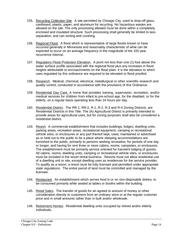- 155. Recycling Collection Site. A site permitted by Chisago City, used to drop-off glass, cardboard, plastic, paper, and aluminum for recycling. No hazardous wastes are allowed on the site. The only processing allowed must be done within a completely enclosed and insulated structure. Such processing shall generally be limited to lass separation, and can sorting and crushing.
- 156. Regional Flood. A flood which is representative of large floods known to have occurred generally in Minnesota and reasonably characteristic of what can be expected to occur on an average frequency in the magnitude of the 100 year recurrence interval.
- 157. Regulatory Flood Protection Elevation. A point not less than one (1) foot above the water surface profile associated with the regional flood plus any increases in flood heights attributable to encroachments on the flood plain. It is the elevation to which uses regulated by this ordinance are required to be elevated or flood proofed.
- 158. Research. Medical, chemical, electrical, metallurgical or other scientific research and quality control, conducted in accordance with the provisions of this Ordinance.
- 159. Residential Day Care. A home that provides training, supervision, recreation, and/or medical services for children from infant to pre-school age, for the disabled, or for the elderly, on a regular basis operating less than 24 hours per day.
- 160. Residential District. The RR-1, RR-2, R-1, R-2, R-3 and R-4 Zoning Districts, are Residential Districts in this Title. The (A) Agricultural District is primarily intended to provide areas for agricultural uses, but for zoning purposes shall also be considered a residential district.
- 143. Resort. A commercial establishment that includes buildings, lodges, dwelling units, parking areas, recreation areas, recreational equipment, camping or recreational vehicle sites, or enclosures or any part thereof kept, used, maintained or advertised as or held out to the public to be a place where sleeping accommodations are furnished to the public, primarily to persons seeking recreation, for periods of one day or longer, and having for rent three or more cabins, rooms, campsites, or enclosures. The establishment must be primarily service oriented for transient lodging of guests. All cabins, rooms, dwelling units, camping or recreational vehicle sites, or enclosures must be included in the resort rental business. Resorts must not allow residential use of a dwelling unit or site, except dwelling uses as residences for the service provider. To qualify as a resort, a resort must be fully licensed and permitted under appropriate state regulations. The entire parcel of land must be controlled and managed by the licensee.
- 144. Restaurant. An establishment which serves food in or on non-disposable dishes, to be consumed primarily while seated at tables or booths within the building.
- 145. Retail Sales. The transfer of goods for an agreed to amount of money or other consideration directly to customers from an ordinary store or at the regular customer price and in small amounts rather than in bulk and/or wholesale.
- 146. Retirement Homes. Residential dwelling units occupied by retired and/or elderly individuals.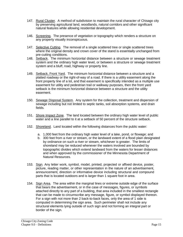- 147. Rural Cluster. A method of subdivision to maintain the rural character of Chisago city by preserving agricultural land, woodlands, natural corridors and other significant natural features while allowing residential development.
- 146. Screening. The presence of vegetation or topography which renders a structure on any property visually inconspicuous.
- 147. Selective Cutting. The removal of a single scattered tree or single scattered trees where the original density and crown cover of the stand is essentially unchanged from pre-cutting conditions.
- 148. Setback. The minimum horizontal distance between a structure or sewage treatment system and the ordinary high water level, or between a structure or sewage treatment system and a bluff, road, highway or property line.
- 149. Setback, Front Yard. The minimum horizontal distance between a structure and a platted roadway or the right-of-way of a road. If there is a utility easement along the front property line of a lot, and that easement is specifically intended as a multiple use easement for utility and pedestrian trail or walkway purposes, then the front yard setback is the minimum horizontal distance between a structure and the utility easement.
- 150. Sewage Disposal System. Any system for the collection, treatment and dispersion of sewage including but not limited to septic tanks, soil absorption systems, and drain fields.
- 151. Shore Impact Zone. The land located between the ordinary high water level of public water and a line parallel to it at a setback of 50 percent of the structure setback.
- 152. Shoreland. Land located within the following distances from the public water:
	- a. 1,000 feet from the ordinary high water level of a lake, pond, or flowage; and
	- b. 300 feet from a river or stream, or the landward extent of a flood plain designated by ordinance on such a river or stream, whichever is greater. The limits of shoreland may be reduced whenever the waters involved are bounded by topographic divides which extend landward from the waters for lesser distances and when approved by the commissioner of the Minnesota Department of Natural Resources.
- 153. Sign. Any letter work, symbol, model, printed, projected or affixed device, poster, picture, reading matter, or other representation in the nature of an advertisement, announcement, direction or informative device including structural and compound parts that is located outdoors and is larger than 1 square foot in area.
- 154. Sign Area. The area within the marginal lines or extreme outside edge of the surface that bears the advertisement, or in the case of messages, figures, or symbols attached directly to any part of a building, that area included in the smallest rectangle that can be made to circumscribe any message, figure, or symbol displayed thereon. For a sign with not more than 2 back-to-back faces, only the area of 1 side is computed in determining the sign area. Such perimeter shall not include any structural elements lying outside of such sign and not forming an integral part or border of the sign.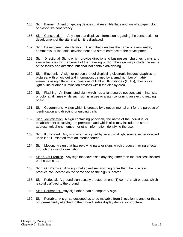- 155. Sign, Banner. Attention getting devices that resemble flags and are of a paper, cloth or plastic like consistency.
- 156. Sign, Construction. Any sign that displays information regarding the construction or development of the site in which it is displayed.
- 157. Sign, Development Identification. A sign that identifies the name of a residential, commercial or industrial development at a street entrance to the development.
- 158. Sign, Directional. Signs which provide directions to businesses, churches, parks and similar facilities for the benefit of the traveling public. The sign may include the name of the facility and direction, but shall not contain advertising.
- 159. Sign, Electronic. A sign or portion thereof displaying electronic images, graphics, or pictures, with or without text information, defined by a small number of matrix elements using different combinations of light emitting diodes (LEDs), fiber optics, light bulbs or other illumination devices within the display area.
- 160. Sign, Flashing. An illuminated sign which has a light source not constant in intensity or color at all times while such sign is in use or a sign containing an electric reading board.
- 161. Sign, Government. A sign which is erected by a governmental unit for the purpose of identification and directing or guiding traffic.
- 162. Sign, Identification. A sign containing principally the name of the individual or establishment occupying the premises, and which also may include the street address, telephone number, or other information identifying the use.
- 163. Sign, Illuminated. Any sign which is lighted by an artificial light source, either directed upon it or illuminated from an interior source.
- 164. Sign, Motion. A sign that has revolving parts or signs which produce moving effects through the use of illumination.
- 165. Signs, Off Premise. Any sign that advertises anything other than the business located on the same lot.
- 166. Sign, On Premise. Any sign that advertises anything other than the business, product, etc. located on the same site as the sign is located.
- 167. Sign, Pedestal. A ground sign usually erected on one (1) central shaft or post, which is solidly affixed to the ground.
- 168. Sign, Permanent. Any sign other than a temporary sign.
- 169. Sign, Portable. A sign so designed as to be movable from 1 location to another that is not permanently attached to the ground, sales display device, or structure.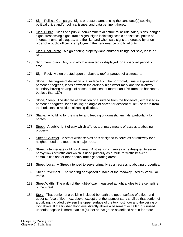- 170. Sign, Political Campaign. Signs or posters announcing the candidate(s) seeking political office and/or political issues, and data pertinent thereto.
- 171. Sign, Public. Signs of a public, non-commercial nature to include safety signs, danger signs, trespassing signs, traffic signs, signs indicating scenic or historical points of interest, memorial plaques, and the like, and when said signs are erected by or on order of a public officer or employee in the performance of official duty.
- 172. Sign, Real Estate. A sign offering property (land and/or buildings) for sale, lease or rent.
- 173. Sign, Temporary. Any sign which is erected or displayed for a specified period of time.
- 174. Sign, Roof. A sign erected upon or above a roof or parapet of a structure.
- 175. Slope. The degree of deviation of a surface from the horizontal, usually expressed in percent or degrees, lands between the ordinary high water mark and the riverway boundary having an angle of ascent or descent of more than 12% from the horizontal, but less than 18%.
- 176. Slope, Steep. The degree of deviation of a surface from the horizontal, expressed in percent or degrees, lands having an angle of ascent or descent of 18% or more from the horizontal in residential zoning districts.
- 177. Stable. A building for the shelter and feeding of domestic animals, particularly for horses.
- 178. Street. A public right-of-way which affords a primary means of access to abutting property.
- 179. Street, Collector. A street which serves or is designed to serve as a trafficway for a neighborhood or a feeder to a major road.
- 180. Street, Intermediate or Minor Arterial. A street which serves or is designed to serve heavy flows of traffic and which is used primarily as a route for traffic between communities and/or other heavy traffic generating areas.
- 181. Street, Local. A Street intended to serve primarily as an access to abutting properties.
- 182. Street Pavement. The wearing or exposed surface of the roadway used by vehicular traffic.
- 183. Street Width. The width of the right-of-way measured at right angles to the centerline of the street.
- 184. Story. That portion of a building included beneath the upper surface of a floor and upper surface of floor next above, except that the topmost story shall be that portion of a building, included between the upper surface of the topmost floor and the ceiling or roof above. If the finished floor level directly above a basement or cellar, or unused underfloor space is more than six (6) feet above grade as defined herein for more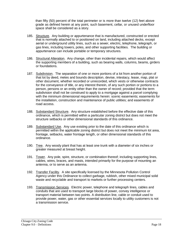than fifty (50) percent of the total perimeter or is more than twelve (12) feet above grade as defined herein at any point, such basement, cellar, or unused underfloor space shall be considered as a story.

- 185. Structure. Any building or appurtenance that is manufactured, constructed or erected that is normally attached to or positioned on land, including attached decks, except aerial or underground utility lines, such as a sewer, electric, telephone, telegraph, or gas lines, including towers, poles, and other supporting facilities. The building or appurtenance can include portable or temporary structures.
- 186. Structural Alteration. Any change, other than incidental repairs, which would affect the supporting members of a building, such as bearing walls, columns, beams, girders or foundations.
- 187. Subdivision. The separation of one or more portions of a lot from another portion of that lot by deed, metes and bounds description, devise, intestacy, lease, map, plat or other document, whether recorded or unrecorded, which vests or otherwise contracts for the conveyance of title, or any interest therein, of any such portion or portions to a person, persons or an entity other than the owner of record; provided that the term subdivision shall not be construed to apply to a mortgage against a parcel complying with the minimum dimensional requirements herein: scenic easements; easements for the installation, construction and maintenance of public utilities; and easements of road access.
- 188. Substandard Structure. Any structure established before the effective date of this ordinance, which is permitted within a particular zoning district but does not meet the structure setbacks or other dimensional standards of this ordinance.
- 189. Substandard Use. Any use existing prior to the date of this ordinance which is permitted within the applicable zoning district but does not meet the minimum lot area, frontage, setbacks, water frontage length, or other dimensional standards of this ordinance.
- 190. Tree. Any woody plant that has at least one trunk with a diameter of six inches or greater measured at breast height.
- 191. Tower. Any pole, spire, structure, or combination thereof; including supporting lines, cables, wires, braces, and masts, intended primarily for the purpose of mounting an antenna, or to serve as an antenna.
- 192. Transfer Facility. A site specifically licensed by the Minnesota Pollution Control Agency under this Ordinance to collect garbage, rubbish, other mixed municipal solid waste and recyclable and transport to markets or further processing centers.
- 193. Transmission Services. Electric power, telephone and telegraph lines, cables and conduits that are used to transport large blocks of power, convey intelligence or transport material between two points. A distribution line, cable or conduit used to provide power, water, gas or other essential services locally to utility customers is not a transmission service.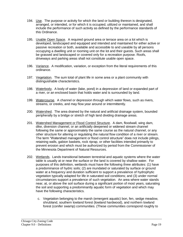- 194. Use. The purpose or activity for which the land or building thereon is designated, arranged, or intended, or for which it is occupied, utilized or maintained, and shall include the performance of such activity as defined by the performance standards of this Ordinance.
- 195. Usable Open Space. A required ground area or terrace area on a lot which is developed, landscaped and equipped and intended and maintained for either active or passive recreation or both, available and accessible to and useable by all persons occupying a dwelling unit or rooming unit on the lot and their guests. Such areas shall be grassed and landscaped or covered only for a recreation purpose. Roofs, driveways and parking areas shall not constitute usable open space.
- 196. Variance. A modification, variation, or exception from the literal requirements of this ordinance.
- 197. Vegetation. The sum total of plant life in some area or a plant community with distinguishable characteristics.
- 198. Waterbody. A body of water (lake, pond) in a depression of land or expanded part of a river, or an enclosed basin that holds water and is surrounded by land.
- 199. Watercourse. A channel or depression through which water flows, such as rivers, streams, or creeks, and may flow year around or intermittently.
- 200. Watershed. The area drained by the natural and artificial drainage system, bounded peripherally by a bridge or stretch of high land dividing drainage areas.
- 201. Watershed Management or Flood Control Structure. A dam, floodwall, wing dam, dike, diversion channel, or an artificially deepened or widened stream channel following the same or approximately the same course as the natural channel, or any other structure for altering or regulating the natural flow condition of a river or stream. The term "Watershed management or flood control structure" does not include pilings, retaining walls, gabion baskets, rock riprap, or other facilities intended primarily to prevent erosion and which must be authorized by period from the Commissioner of the Minnesota Department of Natural Resources.
- 202. Wetlands. Lands transitional between terrestrial and aquatic systems where the water table is usually at or near the surface or the land is covered by shallow water. For purposes of this definition, wetlands must have the following three attributes: (1) have a predominance of hydric soils; (2) are inundated or saturated by surface or ground water at a frequency and duration sufficient to support a prevalence of hydrophytic vegetation typically adapted for life in saturated soil conditions; and (3) under normal circumstances support a prevalence of such vegetation. An area where water stands near, at, or above the soil surface during a significant portion of most years, saturating the soil and supporting a predominantly aquatic form of vegetation and which may have the following characteristics.
	- c. Vegetation belonging to the marsh (emergent aquatic) bon, fen, sedge meadow, shrubland, southern lowland forest (lowland hardwood), and northern lowland forest (conifer swamp) communities. (These communities correspond roughly to